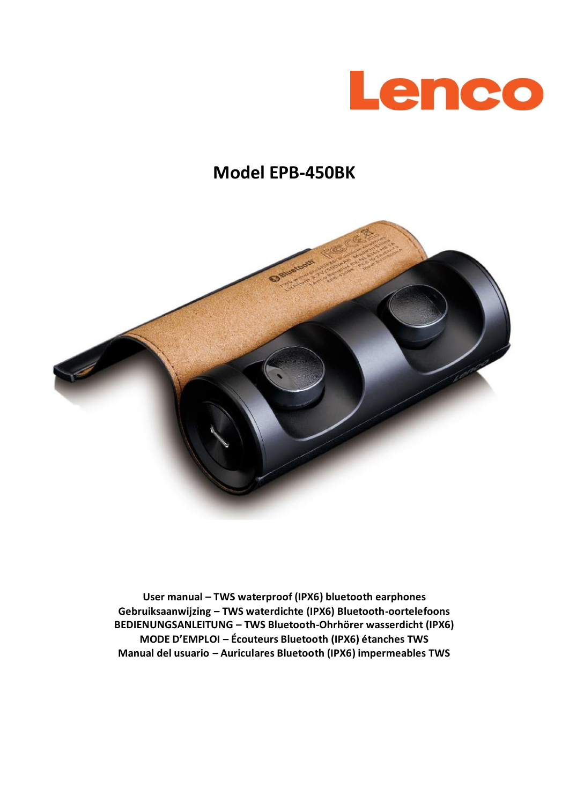

# **Model EPB-450BK**



**User manual – TWS waterproof (IPX6) bluetooth earphones Gebruiksaanwijzing – TWS waterdichte (IPX6) Bluetooth-oortelefoons BEDIENUNGSANLEITUNG – TWS Bluetooth-Ohrhörer wasserdicht (IPX6) MODE D'EMPLOI – Écouteurs Bluetooth (IPX6) étanches TWS Manual del usuario – Auriculares Bluetooth (IPX6) impermeables TWS**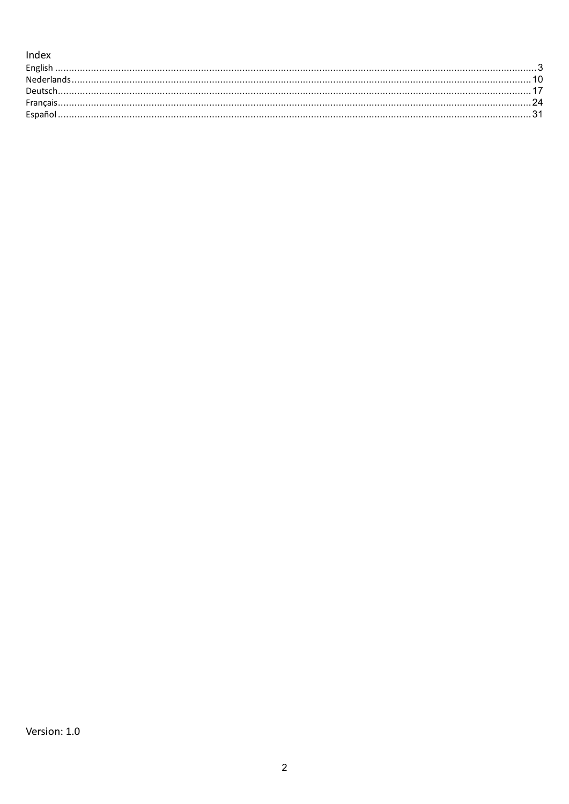### Index

| Englis |  |
|--------|--|
|        |  |
|        |  |
|        |  |
|        |  |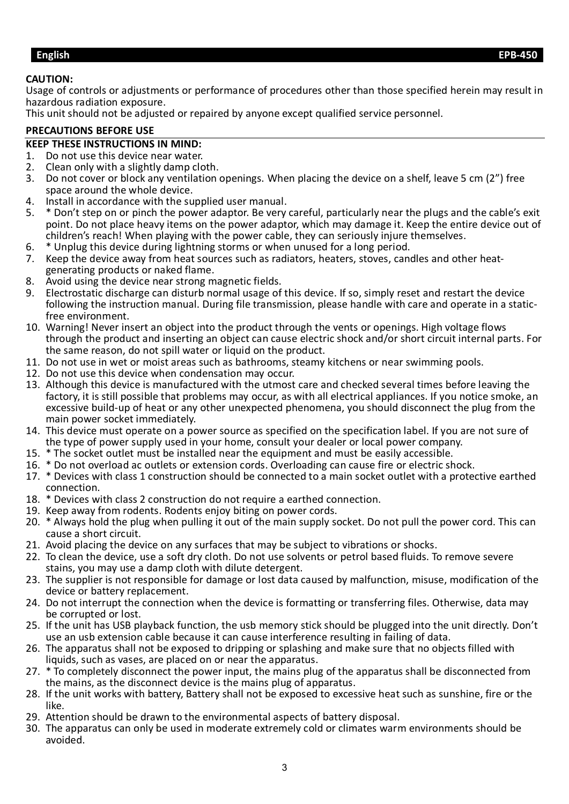#### <span id="page-2-0"></span>**CAUTION:**

Usage of controls or adjustments or performance of procedures other than those specified herein may result in hazardous radiation exposure.

This unit should not be adjusted or repaired by anyone except qualified service personnel.

#### **PRECAUTIONS BEFORE USE**

# **KEEP THESE INSTRUCTIONS IN MIND:**

- 1. Do not use this device near water.<br>2. Clean only with a slightly damp clo
- 2. Clean only with a slightly damp cloth.<br>3. Do not cover or block any ventilation
- 3. Do not cover or block any ventilation openings. When placing the device on a shelf, leave 5 cm (2") free space around the whole device.
- 4. Install in accordance with the supplied user manual.<br>5.  $*$  Don't step on or pinch the power adaptor. Be very
- 5. \* Don't step on or pinch the power adaptor. Be very careful, particularly near the plugs and the cable's exit point. Do not place heavy items on the power adaptor, which may damage it. Keep the entire device out of children's reach! When playing with the power cable, they can seriously injure themselves.
- 6. \* Unplug this device during lightning storms or when unused for a long period.
- 7. Keep the device away from heat sources such as radiators, heaters, stoves, candles and other heatgenerating products or naked flame.
- 8. Avoid using the device near strong magnetic fields.
- 9. Electrostatic discharge can disturb normal usage of this device. If so, simply reset and restart the device following the instruction manual. During file transmission, please handle with care and operate in a staticfree environment.
- 10. Warning! Never insert an object into the product through the vents or openings. High voltage flows through the product and inserting an object can cause electric shock and/or short circuit internal parts. For the same reason, do not spill water or liquid on the product.
- 11. Do not use in wet or moist areas such as bathrooms, steamy kitchens or near swimming pools.
- 12. Do not use this device when condensation may occur.
- 13. Although this device is manufactured with the utmost care and checked several times before leaving the factory, it is still possible that problems may occur, as with all electrical appliances. If you notice smoke, an excessive build-up of heat or any other unexpected phenomena, you should disconnect the plug from the main power socket immediately.
- 14. This device must operate on a power source as specified on the specification label. If you are not sure of the type of power supply used in your home, consult your dealer or local power company.
- 15. \* The socket outlet must be installed near the equipment and must be easily accessible.
- 16. \* Do not overload ac outlets or extension cords. Overloading can cause fire or electric shock.
- 17. \* Devices with class 1 construction should be connected to a main socket outlet with a protective earthed connection.
- 18. \* Devices with class 2 construction do not require a earthed connection.
- 19. Keep away from rodents. Rodents enjoy biting on power cords.
- 20. \* Always hold the plug when pulling it out of the main supply socket. Do not pull the power cord. This can cause a short circuit.
- 21. Avoid placing the device on any surfaces that may be subject to vibrations or shocks.
- 22. To clean the device, use a soft dry cloth. Do not use solvents or petrol based fluids. To remove severe stains, you may use a damp cloth with dilute detergent.
- 23. The supplier is not responsible for damage or lost data caused by malfunction, misuse, modification of the device or battery replacement.
- 24. Do not interrupt the connection when the device is formatting or transferring files. Otherwise, data may be corrupted or lost.
- 25. If the unit has USB playback function, the usb memory stick should be plugged into the unit directly. Don't use an usb extension cable because it can cause interference resulting in failing of data.
- 26. The apparatus shall not be exposed to dripping or splashing and make sure that no objects filled with liquids, such as vases, are placed on or near the apparatus.
- 27. \* To completely disconnect the power input, the mains plug of the apparatus shall be disconnected from the mains, as the disconnect device is the mains plug of apparatus.
- 28. If the unit works with battery, Battery shall not be exposed to excessive heat such as sunshine, fire or the like.
- 29. Attention should be drawn to the environmental aspects of battery disposal.
- 30. The apparatus can only be used in moderate extremely cold or climates warm environments should be avoided.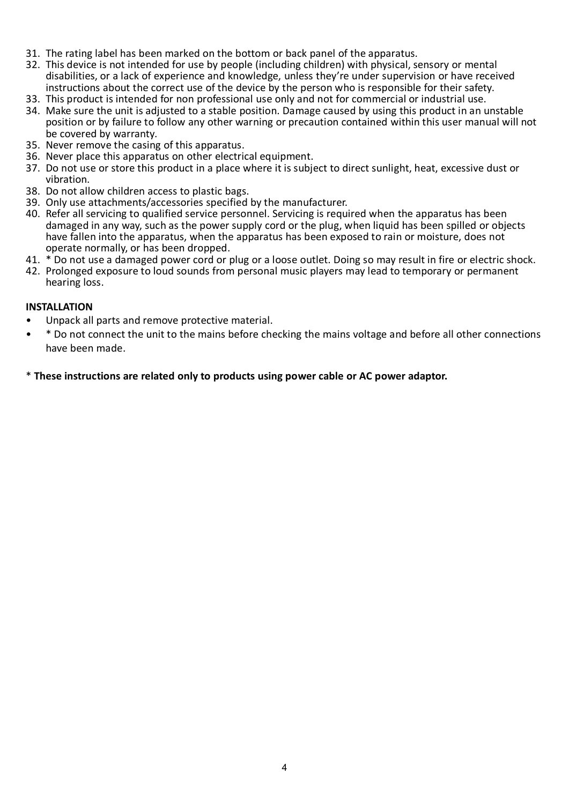- 31. The rating label has been marked on the bottom or back panel of the apparatus.
- 32. This device is not intended for use by people (including children) with physical, sensory or mental disabilities, or a lack of experience and knowledge, unless they're under supervision or have received instructions about the correct use of the device by the person who is responsible for their safety.
- 33. This product is intended for non professional use only and not for commercial or industrial use.
- 34. Make sure the unit is adjusted to a stable position. Damage caused by using this product in an unstable position or by failure to follow any other warning or precaution contained within this user manual will not be covered by warranty.
- 35. Never remove the casing of this apparatus.
- 36. Never place this apparatus on other electrical equipment.
- 37. Do not use or store this product in a place where it is subject to direct sunlight, heat, excessive dust or vibration.
- 38. Do not allow children access to plastic bags.
- 39. Only use attachments/accessories specified by the manufacturer.
- 40. Refer all servicing to qualified service personnel. Servicing is required when the apparatus has been damaged in any way, such as the power supply cord or the plug, when liquid has been spilled or objects have fallen into the apparatus, when the apparatus has been exposed to rain or moisture, does not operate normally, or has been dropped.
- 41. \* Do not use a damaged power cord or plug or a loose outlet. Doing so may result in fire or electric shock.
- 42. Prolonged exposure to loud sounds from personal music players may lead to temporary or permanent hearing loss.

#### **INSTALLATION**

- Unpack all parts and remove protective material.
- \* Do not connect the unit to the mains before checking the mains voltage and before all other connections have been made.

\* **These instructions are related only to products using power cable or AC power adaptor.**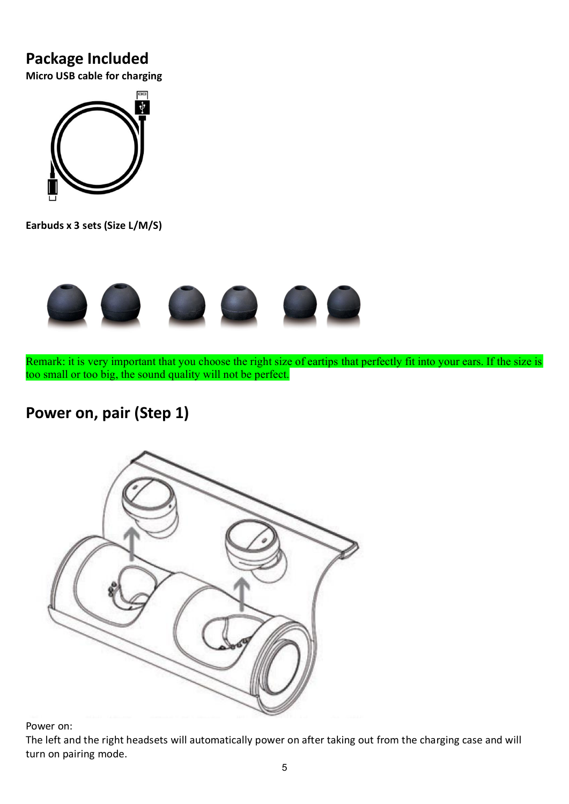### **Package Included**

**Micro USB cable for charging**



**Earbuds x 3 sets (Size L/M/S)**



Remark: it is very important that you choose the right size of eartips that perfectly fit into your ears. If the size is too small or too big, the sound quality will not be perfect.

## **Power on, pair (Step 1)**



Power on:

The left and the right headsets will automatically power on after taking out from the charging case and will turn on pairing mode.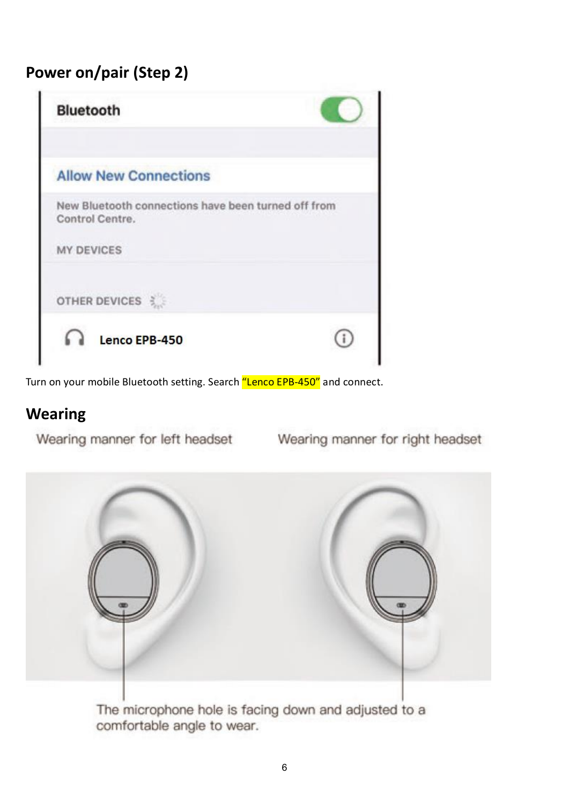# **Power on/pair (Step 2)**

| <b>Bluetooth</b>                                                       |  |
|------------------------------------------------------------------------|--|
| <b>Allow New Connections</b>                                           |  |
| New Bluetooth connections have been turned off from<br>Control Centre. |  |
| <b>MY DEVICES</b>                                                      |  |
| OTHER DEVICES                                                          |  |
|                                                                        |  |

Turn on your mobile Bluetooth setting. Search "Lenco EPB-450" and connect.

### **Wearing**

Wearing manner for left headset

Wearing manner for right headset



comfortable angle to wear.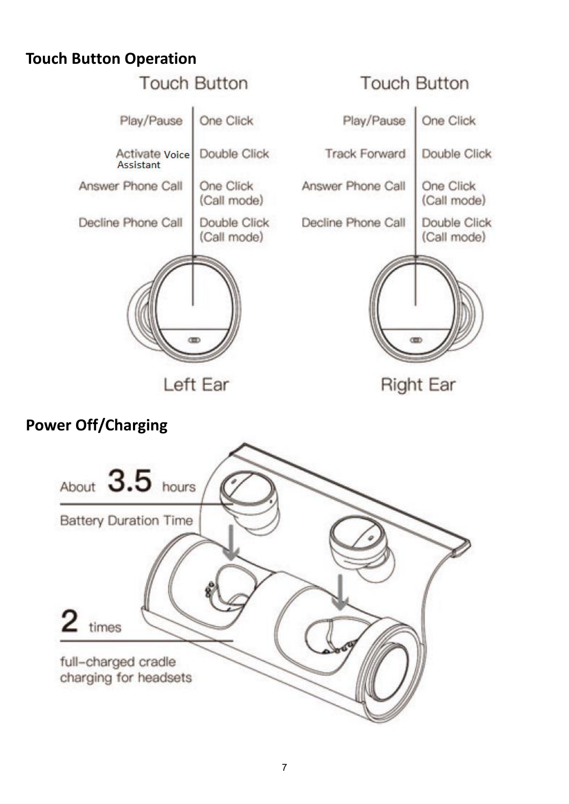## **Touch Button Operation**



# **Power Off/Charging**

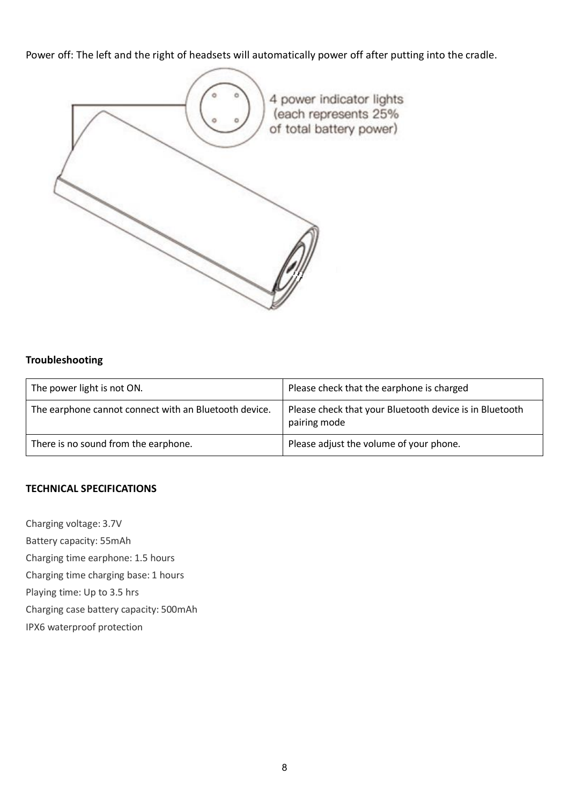Power off: The left and the right of headsets will automatically power off after putting into the cradle.



#### **Troubleshooting**

| The power light is not ON.                            | Please check that the earphone is charged                               |
|-------------------------------------------------------|-------------------------------------------------------------------------|
| The earphone cannot connect with an Bluetooth device. | Please check that your Bluetooth device is in Bluetooth<br>pairing mode |
| There is no sound from the earphone.                  | Please adjust the volume of your phone.                                 |

#### **TECHNICAL SPECIFICATIONS**

Charging voltage: 3.7V

Battery capacity: 55mAh

Charging time earphone: 1.5 hours

Charging time charging base: 1 hours

Playing time: Up to 3.5 hrs

Charging case battery capacity: 500mAh

IPX6 waterproof protection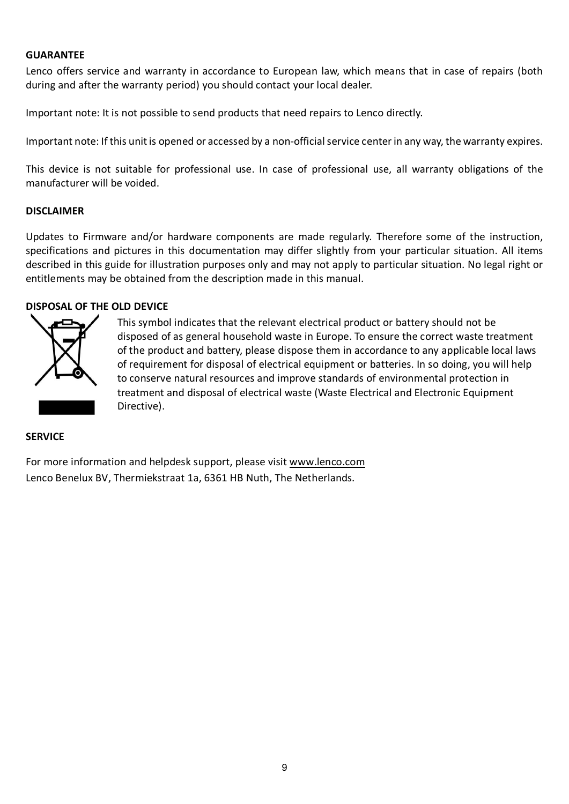#### **GUARANTEE**

Lenco offers service and warranty in accordance to European law, which means that in case of repairs (both during and after the warranty period) you should contact your local dealer.

Important note: It is not possible to send products that need repairs to Lenco directly.

Important note: If this unit is opened or accessed by a non-official service center in any way, the warranty expires.

This device is not suitable for professional use. In case of professional use, all warranty obligations of the manufacturer will be voided.

#### **DISCLAIMER**

Updates to Firmware and/or hardware components are made regularly. Therefore some of the instruction, specifications and pictures in this documentation may differ slightly from your particular situation. All items described in this guide for illustration purposes only and may not apply to particular situation. No legal right or entitlements may be obtained from the description made in this manual.

#### **DISPOSAL OF THE OLD DEVICE**



This symbol indicates that the relevant electrical product or battery should not be disposed of as general household waste in Europe. To ensure the correct waste treatment of the product and battery, please dispose them in accordance to any applicable local laws of requirement for disposal of electrical equipment or batteries. In so doing, you will help to conserve natural resources and improve standards of environmental protection in treatment and disposal of electrical waste (Waste Electrical and Electronic Equipment Directive).

#### **SERVICE**

For more information and helpdesk support, please visit [www.lenco.com](http://www.lenco.com/) Lenco Benelux BV, Thermiekstraat 1a, 6361 HB Nuth, The Netherlands.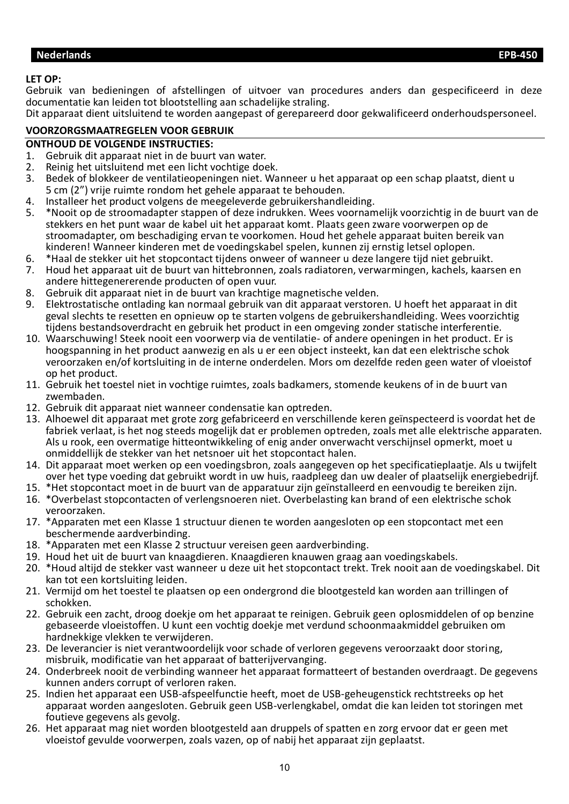#### <span id="page-9-0"></span>**LET OP:**

Gebruik van bedieningen of afstellingen of uitvoer van procedures anders dan gespecificeerd in deze documentatie kan leiden tot blootstelling aan schadelijke straling.

Dit apparaat dient uitsluitend te worden aangepast of gerepareerd door gekwalificeerd onderhoudspersoneel.

#### **VOORZORGSMAATREGELEN VOOR GEBRUIK**

# **ONTHOUD DE VOLGENDE INSTRUCTIES:**<br>1. Gebruik dit apparaat niet in de buuri

- 1. Gebruik dit apparaat niet in de buurt van water.
- 2. Reinig het uitsluitend met een licht vochtige doek.<br>3. Bedek of blokkeer de ventilatieopeningen niet. Wa
- Bedek of blokkeer de ventilatieopeningen niet. Wanneer u het apparaat op een schap plaatst, dient u 5 cm (2") vrije ruimte rondom het gehele apparaat te behouden.
- 4. Installeer het product volgens de meegeleverde gebruikershandleiding.<br>5. \*Nooit op de stroomadapter stappen of deze indrukken. Wees voornam
- 5. \*Nooit op de stroomadapter stappen of deze indrukken. Wees voornamelijk voorzichtig in de buurt van de stekkers en het punt waar de kabel uit het apparaat komt. Plaats geen zware voorwerpen op de stroomadapter, om beschadiging ervan te voorkomen. Houd het gehele apparaat buiten bereik van kinderen! Wanneer kinderen met de voedingskabel spelen, kunnen zij ernstig letsel oplopen.
- 6. \*Haal de stekker uit het stopcontact tijdens onweer of wanneer u deze langere tijd niet gebruikt.
- 7. Houd het apparaat uit de buurt van hittebronnen, zoals radiatoren, verwarmingen, kachels, kaarsen en andere hittegenererende producten of open vuur.
- 8. Gebruik dit apparaat niet in de buurt van krachtige magnetische velden.
- 9. Elektrostatische ontlading kan normaal gebruik van dit apparaat verstoren. U hoeft het apparaat in dit geval slechts te resetten en opnieuw op te starten volgens de gebruikershandleiding. Wees voorzichtig tijdens bestandsoverdracht en gebruik het product in een omgeving zonder statische interferentie.
- 10. Waarschuwing! Steek nooit een voorwerp via de ventilatie- of andere openingen in het product. Er is hoogspanning in het product aanwezig en als u er een object insteekt, kan dat een elektrische schok veroorzaken en/of kortsluiting in de interne onderdelen. Mors om dezelfde reden geen water of vloeistof op het product.
- 11. Gebruik het toestel niet in vochtige ruimtes, zoals badkamers, stomende keukens of in de buurt van zwembaden.
- 12. Gebruik dit apparaat niet wanneer condensatie kan optreden.
- 13. Alhoewel dit apparaat met grote zorg gefabriceerd en verschillende keren geïnspecteerd is voordat het de fabriek verlaat, is het nog steeds mogelijk dat er problemen optreden, zoals met alle elektrische apparaten. Als u rook, een overmatige hitteontwikkeling of enig ander onverwacht verschijnsel opmerkt, moet u onmiddellijk de stekker van het netsnoer uit het stopcontact halen.
- 14. Dit apparaat moet werken op een voedingsbron, zoals aangegeven op het specificatieplaatje. Als u twijfelt over het type voeding dat gebruikt wordt in uw huis, raadpleeg dan uw dealer of plaatselijk energiebedrijf.
- 15. \*Het stopcontact moet in de buurt van de apparatuur zijn geïnstalleerd en eenvoudig te bereiken zijn.
- 16. \*Overbelast stopcontacten of verlengsnoeren niet. Overbelasting kan brand of een elektrische schok veroorzaken.
- 17. \*Apparaten met een Klasse 1 structuur dienen te worden aangesloten op een stopcontact met een beschermende aardverbinding.
- 18. \*Apparaten met een Klasse 2 structuur vereisen geen aardverbinding.
- 19. Houd het uit de buurt van knaagdieren. Knaagdieren knauwen graag aan voedingskabels.
- 20. \*Houd altijd de stekker vast wanneer u deze uit het stopcontact trekt. Trek nooit aan de voedingskabel. Dit kan tot een kortsluiting leiden.
- 21. Vermijd om het toestel te plaatsen op een ondergrond die blootgesteld kan worden aan trillingen of schokken.
- 22. Gebruik een zacht, droog doekje om het apparaat te reinigen. Gebruik geen oplosmiddelen of op benzine gebaseerde vloeistoffen. U kunt een vochtig doekje met verdund schoonmaakmiddel gebruiken om hardnekkige vlekken te verwijderen.
- 23. De leverancier is niet verantwoordelijk voor schade of verloren gegevens veroorzaakt door storing, misbruik, modificatie van het apparaat of batterijvervanging.
- 24. Onderbreek nooit de verbinding wanneer het apparaat formatteert of bestanden overdraagt. De gegevens kunnen anders corrupt of verloren raken.
- 25. Indien het apparaat een USB-afspeelfunctie heeft, moet de USB-geheugenstick rechtstreeks op het apparaat worden aangesloten. Gebruik geen USB-verlengkabel, omdat die kan leiden tot storingen met foutieve gegevens als gevolg.
- 26. Het apparaat mag niet worden blootgesteld aan druppels of spatten en zorg ervoor dat er geen met vloeistof gevulde voorwerpen, zoals vazen, op of nabij het apparaat zijn geplaatst.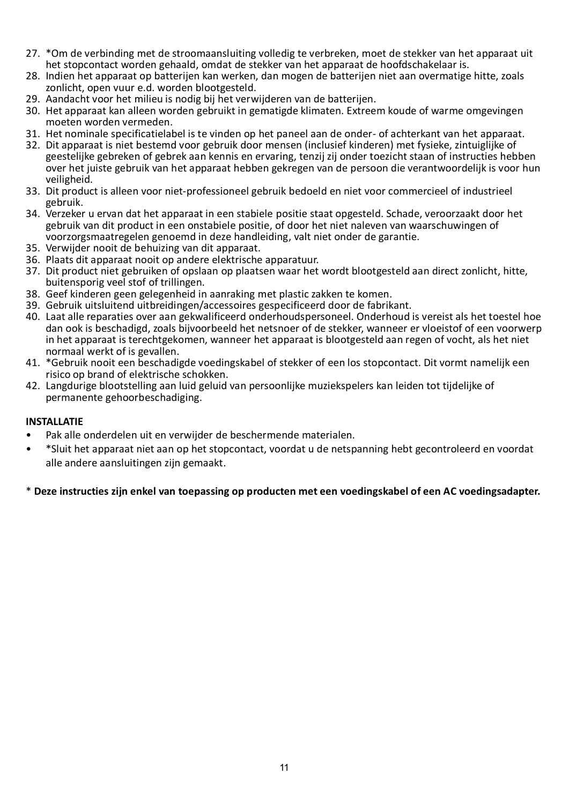- 27. \*Om de verbinding met de stroomaansluiting volledig te verbreken, moet de stekker van het apparaat uit het stopcontact worden gehaald, omdat de stekker van het apparaat de hoofdschakelaar is.
- 28. Indien het apparaat op batterijen kan werken, dan mogen de batterijen niet aan overmatige hitte, zoals zonlicht, open vuur e.d. worden blootgesteld.
- 29. Aandacht voor het milieu is nodig bij het verwijderen van de batterijen.
- 30. Het apparaat kan alleen worden gebruikt in gematigde klimaten. Extreem koude of warme omgevingen moeten worden vermeden.
- 31. Het nominale specificatielabel is te vinden op het paneel aan de onder- of achterkant van het apparaat.
- 32. Dit apparaat is niet bestemd voor gebruik door mensen (inclusief kinderen) met fysieke, zintuiglijke of geestelijke gebreken of gebrek aan kennis en ervaring, tenzij zij onder toezicht staan of instructies hebben over het juiste gebruik van het apparaat hebben gekregen van de persoon die verantwoordelijk is voor hun veiligheid.
- 33. Dit product is alleen voor niet-professioneel gebruik bedoeld en niet voor commercieel of industrieel gebruik.
- 34. Verzeker u ervan dat het apparaat in een stabiele positie staat opgesteld. Schade, veroorzaakt door het gebruik van dit product in een onstabiele positie, of door het niet naleven van waarschuwingen of voorzorgsmaatregelen genoemd in deze handleiding, valt niet onder de garantie.
- 35. Verwijder nooit de behuizing van dit apparaat.
- 36. Plaats dit apparaat nooit op andere elektrische apparatuur.
- 37. Dit product niet gebruiken of opslaan op plaatsen waar het wordt blootgesteld aan direct zonlicht, hitte, buitensporig veel stof of trillingen.
- 38. Geef kinderen geen gelegenheid in aanraking met plastic zakken te komen.
- 39. Gebruik uitsluitend uitbreidingen/accessoires gespecificeerd door de fabrikant.
- 40. Laat alle reparaties over aan gekwalificeerd onderhoudspersoneel. Onderhoud is vereist als het toestel hoe dan ook is beschadigd, zoals bijvoorbeeld het netsnoer of de stekker, wanneer er vloeistof of een voorwerp in het apparaat is terechtgekomen, wanneer het apparaat is blootgesteld aan regen of vocht, als het niet normaal werkt of is gevallen.
- 41. \*Gebruik nooit een beschadigde voedingskabel of stekker of een los stopcontact. Dit vormt namelijk een risico op brand of elektrische schokken.
- 42. Langdurige blootstelling aan luid geluid van persoonlijke muziekspelers kan leiden tot tijdelijke of permanente gehoorbeschadiging.

#### **INSTALLATIE**

- Pak alle onderdelen uit en verwijder de beschermende materialen.
- \*Sluit het apparaat niet aan op het stopcontact, voordat u de netspanning hebt gecontroleerd en voordat alle andere aansluitingen zijn gemaakt.

#### \* **Deze instructies zijn enkel van toepassing op producten met een voedingskabel of een AC voedingsadapter.**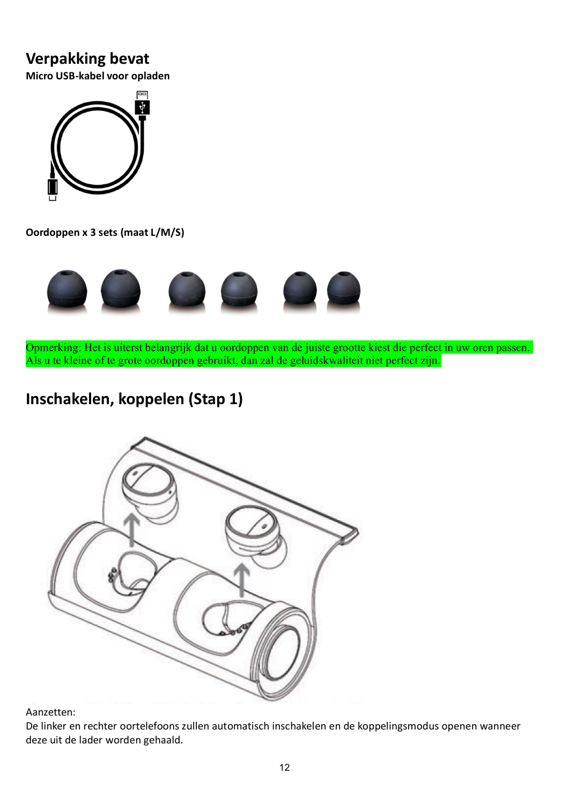### **Verpakking bevat**

**Micro USB-kabel voor opladen**



**Oordoppen x 3 sets (maat L/M/S)**



Opmerking: Het is uiterst belangrijk dat u oordoppen van de juiste grootte kiest die perfect in uw oren passen. Als u te kleine of te grote oordoppen gebruikt, dan zal de geluidskwaliteit niet perfect zijn.

# **Inschakelen, koppelen (Stap 1)**



Aanzetten:

De linker en rechter oortelefoons zullen automatisch inschakelen en de koppelingsmodus openen wanneer deze uit de lader worden gehaald.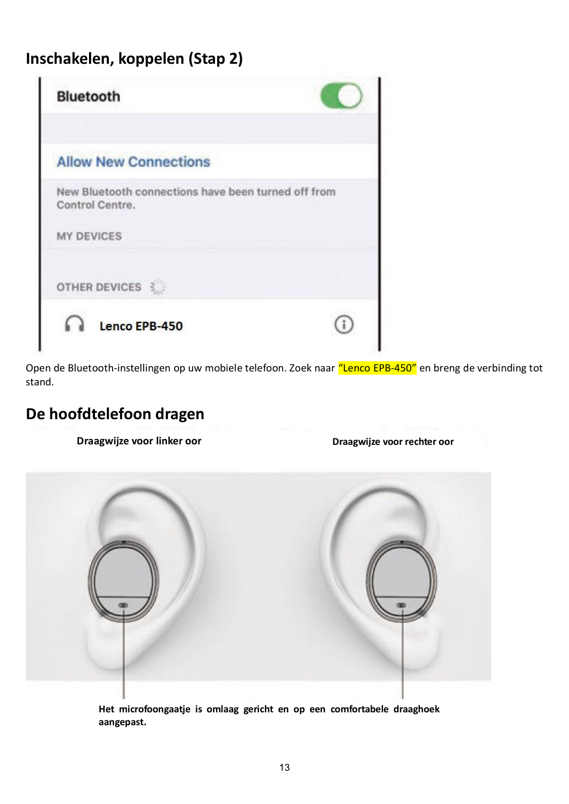# **Inschakelen, koppelen (Stap 2)**

| <b>Bluetooth</b>                                                       |  |
|------------------------------------------------------------------------|--|
| <b>Allow New Connections</b>                                           |  |
| New Bluetooth connections have been turned off from<br>Control Centre. |  |
| <b>MY DEVICES</b>                                                      |  |
| OTHER DEVICES                                                          |  |
|                                                                        |  |

Open de Bluetooth-instellingen op uw mobiele telefoon. Zoek naar "Lenco EPB-450" en breng de verbinding tot stand.

## **De hoofdtelefoon dragen**

**Draagwijze voor linker oor Draagwijze voor rechter oor**



**Het microfoongaatje is omlaag gericht en op een comfortabele draaghoek aangepast.**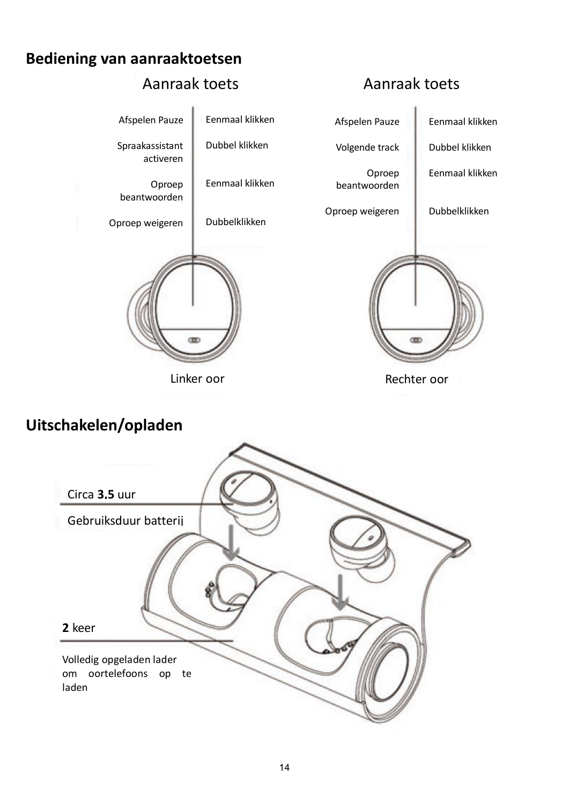### **Bediening van aanraaktoetsen**



## **Uitschakelen/opladen**

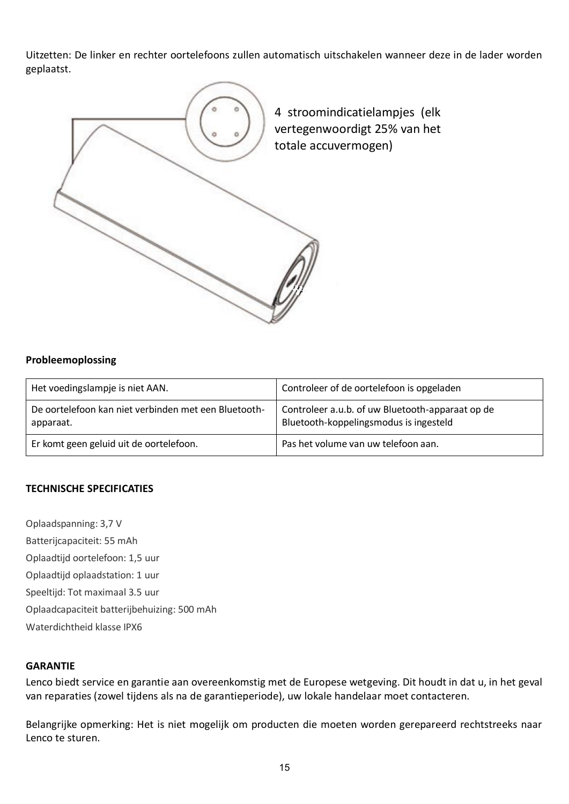Uitzetten: De linker en rechter oortelefoons zullen automatisch uitschakelen wanneer deze in de lader worden geplaatst.



#### **Probleemoplossing**

| Het voedingslampje is niet AAN.                                   | Controleer of de oortelefoon is opgeladen                                                  |
|-------------------------------------------------------------------|--------------------------------------------------------------------------------------------|
| De oortelefoon kan niet verbinden met een Bluetooth-<br>apparaat. | Controleer a.u.b. of uw Bluetooth-apparaat op de<br>Bluetooth-koppelingsmodus is ingesteld |
| Er komt geen geluid uit de oortelefoon.                           | Pas het volume van uw telefoon aan.                                                        |

#### **TECHNISCHE SPECIFICATIES**

Oplaadspanning: 3,7 V Batterijcapaciteit: 55 mAh Oplaadtijd oortelefoon: 1,5 uur Oplaadtijd oplaadstation: 1 uur Speeltijd: Tot maximaal 3.5 uur Oplaadcapaciteit batterijbehuizing: 500 mAh Waterdichtheid klasse IPX6

#### **GARANTIE**

Lenco biedt service en garantie aan overeenkomstig met de Europese wetgeving. Dit houdt in dat u, in het geval van reparaties (zowel tijdens als na de garantieperiode), uw lokale handelaar moet contacteren.

Belangrijke opmerking: Het is niet mogelijk om producten die moeten worden gerepareerd rechtstreeks naar Lenco te sturen.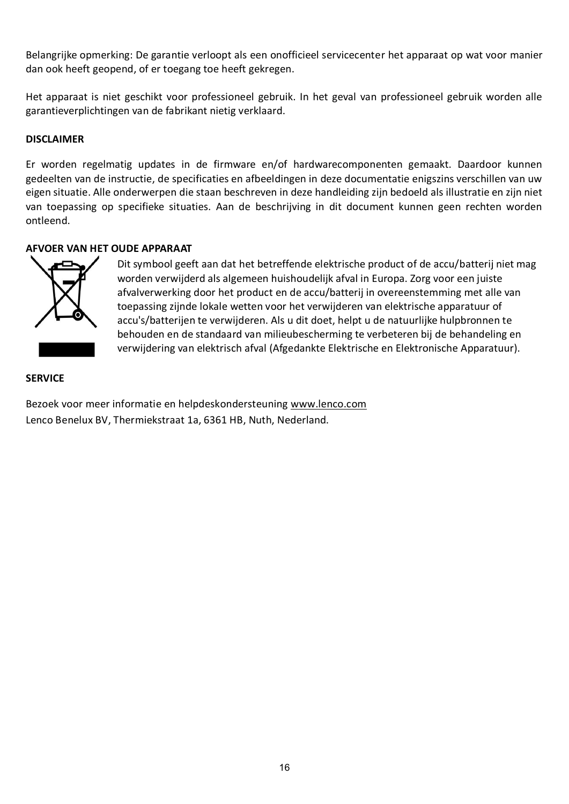Belangrijke opmerking: De garantie verloopt als een onofficieel servicecenter het apparaat op wat voor manier dan ook heeft geopend, of er toegang toe heeft gekregen.

Het apparaat is niet geschikt voor professioneel gebruik. In het geval van professioneel gebruik worden alle garantieverplichtingen van de fabrikant nietig verklaard.

#### **DISCLAIMER**

Er worden regelmatig updates in de firmware en/of hardwarecomponenten gemaakt. Daardoor kunnen gedeelten van de instructie, de specificaties en afbeeldingen in deze documentatie enigszins verschillen van uw eigen situatie. Alle onderwerpen die staan beschreven in deze handleiding zijn bedoeld als illustratie en zijn niet van toepassing op specifieke situaties. Aan de beschrijving in dit document kunnen geen rechten worden ontleend.

#### **AFVOER VAN HET OUDE APPARAAT**



Dit symbool geeft aan dat het betreffende elektrische product of de accu/batterij niet mag worden verwijderd als algemeen huishoudelijk afval in Europa. Zorg voor een juiste afvalverwerking door het product en de accu/batterij in overeenstemming met alle van toepassing zijnde lokale wetten voor het verwijderen van elektrische apparatuur of accu's/batterijen te verwijderen. Als u dit doet, helpt u de natuurlijke hulpbronnen te behouden en de standaard van milieubescherming te verbeteren bij de behandeling en verwijdering van elektrisch afval (Afgedankte Elektrische en Elektronische Apparatuur).

#### **SERVICE**

Bezoek voor meer informatie en helpdeskondersteuning [www.lenco.com](http://www.lenco.com/) Lenco Benelux BV, Thermiekstraat 1a, 6361 HB, Nuth, Nederland.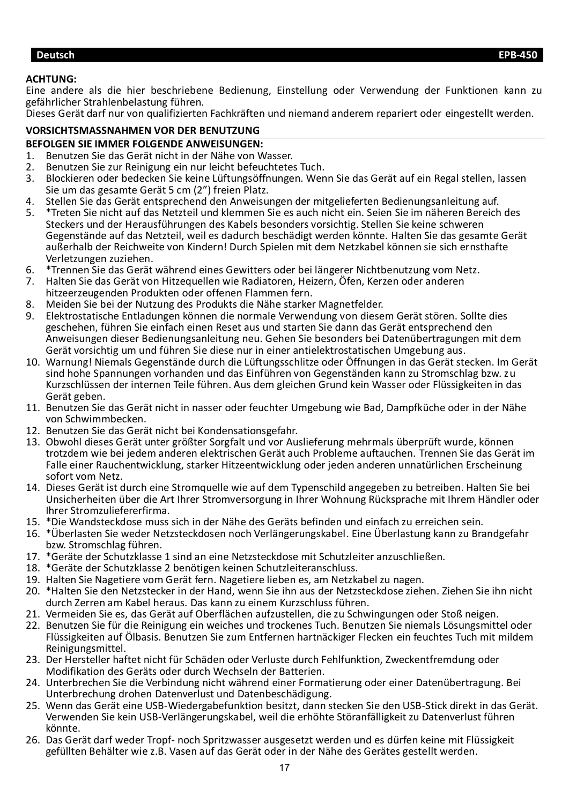#### <span id="page-16-0"></span>**ACHTUNG:**

Eine andere als die hier beschriebene Bedienung, Einstellung oder Verwendung der Funktionen kann zu gefährlicher Strahlenbelastung führen.

Dieses Gerät darf nur von qualifizierten Fachkräften und niemand anderem repariert oder eingestellt werden.

### **VORSICHTSMASSNAHMEN VOR DER BENUTZUNG**

# **BEFOLGEN SIE IMMER FOLGENDE ANWEISUNGEN:**<br>1. Benutzen Sie das Gerät nicht in der Nähe von W

- 1. Benutzen Sie das Gerät nicht in der Nähe von Wasser.
- 2. Benutzen Sie zur Reinigung ein nur leicht befeuchtetes Tuch.
- 3. Blockieren oder bedecken Sie keine Lüftungsöffnungen. Wenn Sie das Gerät auf ein Regal stellen, lassen Sie um das gesamte Gerät 5 cm (2") freien Platz.
- 4. Stellen Sie das Gerät entsprechend den Anweisungen der mitgelieferten Bedienungsanleitung auf.<br>5. Treten Sie nicht auf das Netzteil und klemmen Sie es auch nicht ein. Seien Sie im näheren Bereich
- 5. \*Treten Sie nicht auf das Netzteil und klemmen Sie es auch nicht ein. Seien Sie im näheren Bereich des Steckers und der Herausführungen des Kabels besonders vorsichtig. Stellen Sie keine schweren Gegenstände auf das Netzteil, weil es dadurch beschädigt werden könnte. Halten Sie das gesamte Gerät außerhalb der Reichweite von Kindern! Durch Spielen mit dem Netzkabel können sie sich ernsthafte Verletzungen zuziehen.
- 6. \*Trennen Sie das Gerät während eines Gewitters oder bei längerer Nichtbenutzung vom Netz.<br>7. Halten Sie das Gerät von Hitzequellen wie Radiatoren. Heizern, Öfen, Kerzen oder anderen
- 7. Halten Sie das Gerät von Hitzequellen wie Radiatoren, Heizern, Öfen, Kerzen oder anderen hitzeerzeugenden Produkten oder offenen Flammen fern.
- 
- 8. Meiden Sie bei der Nutzung des Produkts die Nähe starker Magnetfelder.<br>9. Elektrostatische Entladungen können die normale Verwendung von diese 9. Elektrostatische Entladungen können die normale Verwendung von diesem Gerät stören. Sollte dies geschehen, führen Sie einfach einen Reset aus und starten Sie dann das Gerät entsprechend den Anweisungen dieser Bedienungsanleitung neu. Gehen Sie besonders bei Datenübertragungen mit dem Gerät vorsichtig um und führen Sie diese nur in einer antielektrostatischen Umgebung aus.
- 10. Warnung! Niemals Gegenstände durch die Lüftungsschlitze oder Öffnungen in das Gerät stecken. Im Gerät sind hohe Spannungen vorhanden und das Einführen von Gegenständen kann zu Stromschlag bzw. zu Kurzschlüssen der internen Teile führen. Aus dem gleichen Grund kein Wasser oder Flüssigkeiten in das Gerät geben.
- 11. Benutzen Sie das Gerät nicht in nasser oder feuchter Umgebung wie Bad, Dampfküche oder in der Nähe von Schwimmbecken.
- 12. Benutzen Sie das Gerät nicht bei Kondensationsgefahr.
- 13. Obwohl dieses Gerät unter größter Sorgfalt und vor Auslieferung mehrmals überprüft wurde, können trotzdem wie bei jedem anderen elektrischen Gerät auch Probleme auftauchen. Trennen Sie das Gerät im Falle einer Rauchentwicklung, starker Hitzeentwicklung oder jeden anderen unnatürlichen Erscheinung sofort vom Netz.
- 14. Dieses Gerät ist durch eine Stromquelle wie auf dem Typenschild angegeben zu betreiben. Halten Sie bei Unsicherheiten über die Art Ihrer Stromversorgung in Ihrer Wohnung Rücksprache mit Ihrem Händler oder Ihrer Stromzuliefererfirma.
- 15. \*Die Wandsteckdose muss sich in der Nähe des Geräts befinden und einfach zu erreichen sein.
- 16. \*Überlasten Sie weder Netzsteckdosen noch Verlängerungskabel. Eine Überlastung kann zu Brandgefahr bzw. Stromschlag führen.
- 17. \*Geräte der Schutzklasse 1 sind an eine Netzsteckdose mit Schutzleiter anzuschließen.
- 18. \*Geräte der Schutzklasse 2 benötigen keinen Schutzleiteranschluss.
- 19. Halten Sie Nagetiere vom Gerät fern. Nagetiere lieben es, am Netzkabel zu nagen.
- 20. \*Halten Sie den Netzstecker in der Hand, wenn Sie ihn aus der Netzsteckdose ziehen. Ziehen Sie ihn nicht durch Zerren am Kabel heraus. Das kann zu einem Kurzschluss führen.
- 21. Vermeiden Sie es, das Gerät auf Oberflächen aufzustellen, die zu Schwingungen oder Stoß neigen.
- 22. Benutzen Sie für die Reinigung ein weiches und trockenes Tuch. Benutzen Sie niemals Lösungsmittel oder Flüssigkeiten auf Ölbasis. Benutzen Sie zum Entfernen hartnäckiger Flecken ein feuchtes Tuch mit mildem Reinigungsmittel.
- 23. Der Hersteller haftet nicht für Schäden oder Verluste durch Fehlfunktion, Zweckentfremdung oder Modifikation des Geräts oder durch Wechseln der Batterien.
- 24. Unterbrechen Sie die Verbindung nicht während einer Formatierung oder einer Datenübertragung. Bei Unterbrechung drohen Datenverlust und Datenbeschädigung.
- 25. Wenn das Gerät eine USB-Wiedergabefunktion besitzt, dann stecken Sie den USB-Stick direkt in das Gerät. Verwenden Sie kein USB-Verlängerungskabel, weil die erhöhte Störanfälligkeit zu Datenverlust führen könnte.
- 26. Das Gerät darf weder Tropf- noch Spritzwasser ausgesetzt werden und es dürfen keine mit Flüssigkeit gefüllten Behälter wie z.B. Vasen auf das Gerät oder in der Nähe des Gerätes gestellt werden.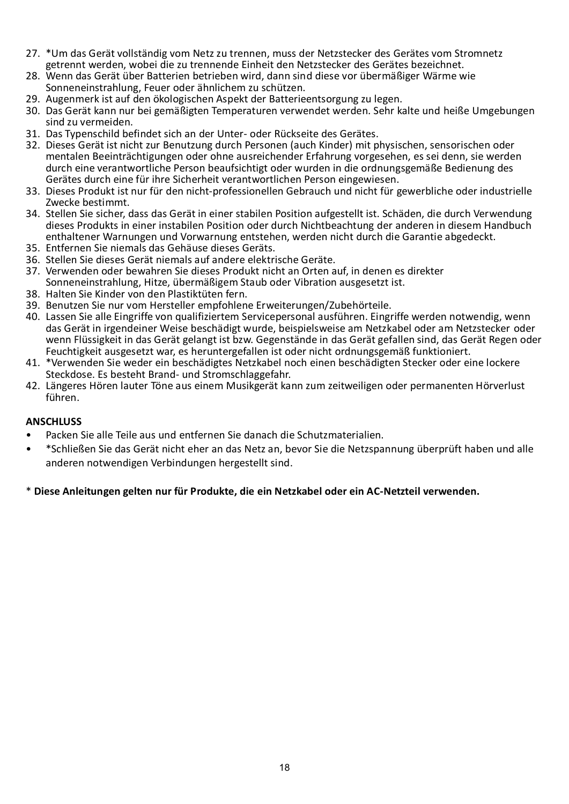- 27. \*Um das Gerät vollständig vom Netz zu trennen, muss der Netzstecker des Gerätes vom Stromnetz getrennt werden, wobei die zu trennende Einheit den Netzstecker des Gerätes bezeichnet.
- 28. Wenn das Gerät über Batterien betrieben wird, dann sind diese vor übermäßiger Wärme wie Sonneneinstrahlung, Feuer oder ähnlichem zu schützen.
- 29. Augenmerk ist auf den ökologischen Aspekt der Batterieentsorgung zu legen.
- 30. Das Gerät kann nur bei gemäßigten Temperaturen verwendet werden. Sehr kalte und heiße Umgebungen sind zu vermeiden.
- 31. Das Typenschild befindet sich an der Unter- oder Rückseite des Gerätes.
- 32. Dieses Gerät ist nicht zur Benutzung durch Personen (auch Kinder) mit physischen, sensorischen oder mentalen Beeinträchtigungen oder ohne ausreichender Erfahrung vorgesehen, es sei denn, sie werden durch eine verantwortliche Person beaufsichtigt oder wurden in die ordnungsgemäße Bedienung des Gerätes durch eine für ihre Sicherheit verantwortlichen Person eingewiesen.
- 33. Dieses Produkt ist nur für den nicht-professionellen Gebrauch und nicht für gewerbliche oder industrielle Zwecke bestimmt.
- 34. Stellen Sie sicher, dass das Gerät in einer stabilen Position aufgestellt ist. Schäden, die durch Verwendung dieses Produkts in einer instabilen Position oder durch Nichtbeachtung der anderen in diesem Handbuch enthaltener Warnungen und Vorwarnung entstehen, werden nicht durch die Garantie abgedeckt.
- 35. Entfernen Sie niemals das Gehäuse dieses Geräts.
- 36. Stellen Sie dieses Gerät niemals auf andere elektrische Geräte.
- 37. Verwenden oder bewahren Sie dieses Produkt nicht an Orten auf, in denen es direkter Sonneneinstrahlung, Hitze, übermäßigem Staub oder Vibration ausgesetzt ist.
- 38. Halten Sie Kinder von den Plastiktüten fern.
- 39. Benutzen Sie nur vom Hersteller empfohlene Erweiterungen/Zubehörteile.
- 40. Lassen Sie alle Eingriffe von qualifiziertem Servicepersonal ausführen. Eingriffe werden notwendig, wenn das Gerät in irgendeiner Weise beschädigt wurde, beispielsweise am Netzkabel oder am Netzstecker oder wenn Flüssigkeit in das Gerät gelangt ist bzw. Gegenstände in das Gerät gefallen sind, das Gerät Regen oder Feuchtigkeit ausgesetzt war, es heruntergefallen ist oder nicht ordnungsgemäß funktioniert.
- 41. \*Verwenden Sie weder ein beschädigtes Netzkabel noch einen beschädigten Stecker oder eine lockere Steckdose. Es besteht Brand- und Stromschlaggefahr.
- 42. Längeres Hören lauter Töne aus einem Musikgerät kann zum zeitweiligen oder permanenten Hörverlust führen.

#### **ANSCHLUSS**

- Packen Sie alle Teile aus und entfernen Sie danach die Schutzmaterialien.
- \*Schließen Sie das Gerät nicht eher an das Netz an, bevor Sie die Netzspannung überprüft haben und alle anderen notwendigen Verbindungen hergestellt sind.

#### \* **Diese Anleitungen gelten nur für Produkte, die ein Netzkabel oder ein AC-Netzteil verwenden.**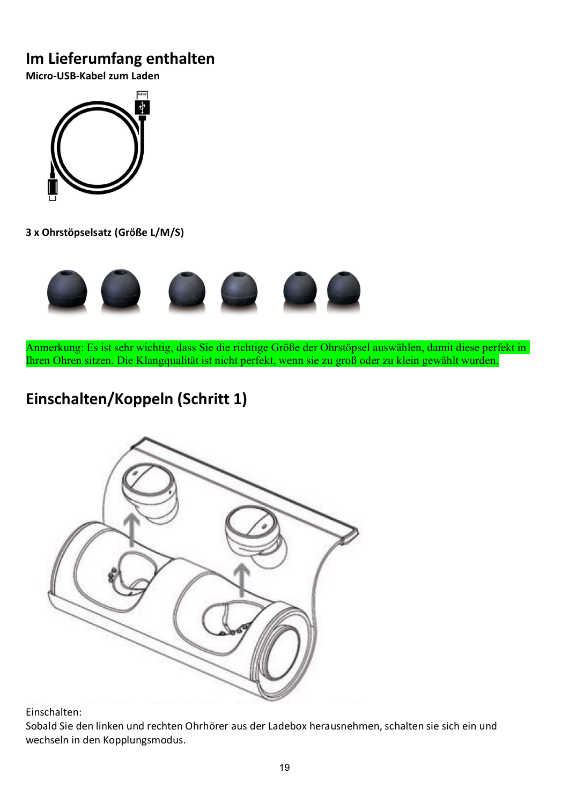# **Im Lieferumfang enthalten**

**Micro-USB-Kabel zum Laden**



**3 x Ohrstöpselsatz (Größe L/M/S)**



Anmerkung: Es ist sehr wichtig, dass Sie die richtige Größe der Ohrstöpsel auswählen, damit diese perfekt in Ihren Ohren sitzen. Die Klangqualität ist nicht perfekt, wenn sie zu groß oder zu klein gewählt wurden.

# **Einschalten/Koppeln (Schritt 1)**



Einschalten:

Sobald Sie den linken und rechten Ohrhörer aus der Ladebox herausnehmen, schalten sie sich ein und wechseln in den Kopplungsmodus.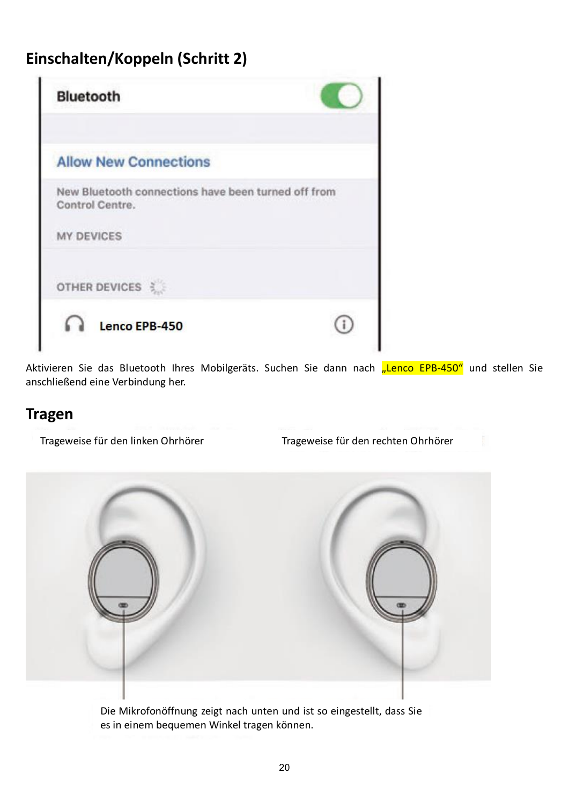# **Einschalten/Koppeln (Schritt 2)**

| <b>Bluetooth</b>                                                       |  |
|------------------------------------------------------------------------|--|
| <b>Allow New Connections</b>                                           |  |
| New Bluetooth connections have been turned off from<br>Control Centre. |  |
| <b>MY DEVICES</b>                                                      |  |
| OTHER DEVICES                                                          |  |
| Lenco EPB-450                                                          |  |

Aktivieren Sie das Bluetooth Ihres Mobilgeräts. Suchen Sie dann nach "Lenco EPB-450" und stellen Sie anschließend eine Verbindung her.

## **Tragen**

Trageweise für den linken Ohrhörer Trageweise für den rechten Ohrhörer



Die Mikrofonöffnung zeigt nach unten und ist so eingestellt, dass Sie es in einem bequemen Winkel tragen können.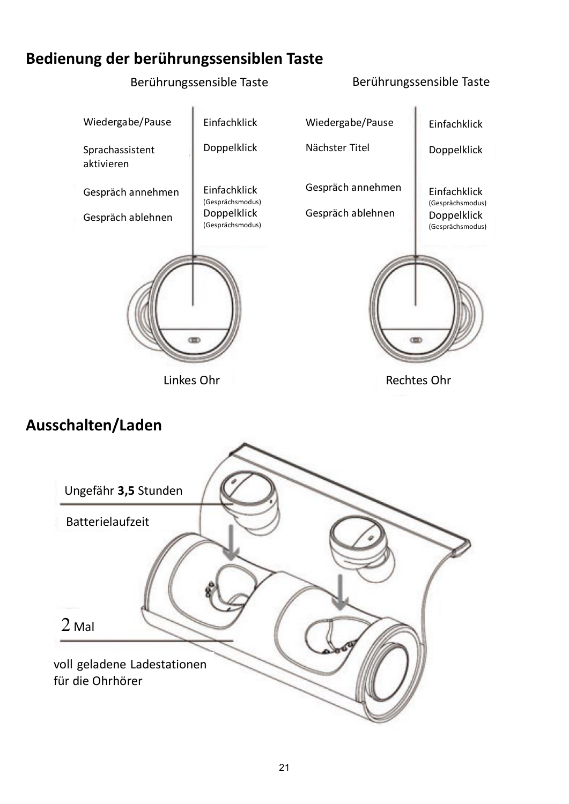## **Bedienung der berührungssensiblen Taste**

### Berührungssensible Taste Berührungssensible Taste



## **Ausschalten/Laden**

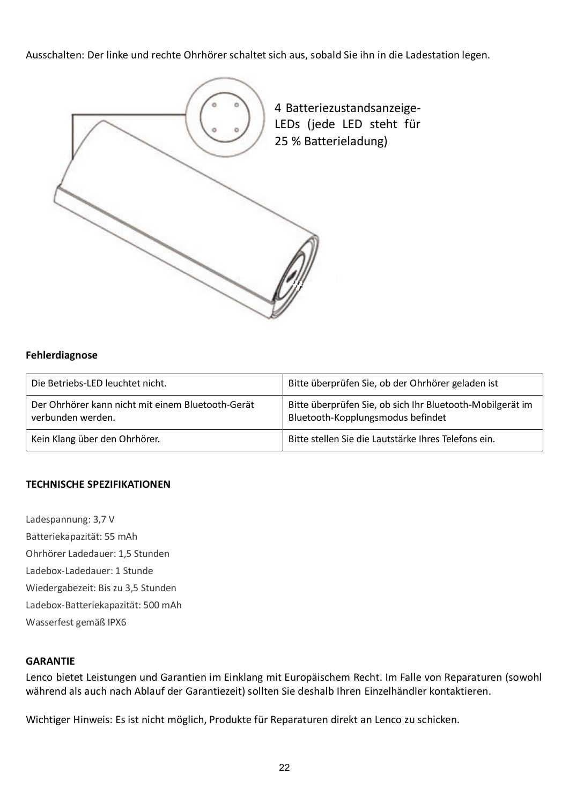Ausschalten: Der linke und rechte Ohrhörer schaltet sich aus, sobald Sie ihn in die Ladestation legen.



#### **Fehlerdiagnose**

| Die Betriebs-LED leuchtet nicht.                                       | Bitte überprüfen Sie, ob der Ohrhörer geladen ist                                              |
|------------------------------------------------------------------------|------------------------------------------------------------------------------------------------|
| Der Ohrhörer kann nicht mit einem Bluetooth-Gerät<br>verbunden werden. | Bitte überprüfen Sie, ob sich Ihr Bluetooth-Mobilgerät im<br>Bluetooth-Kopplungsmodus befindet |
| Kein Klang über den Ohrhörer.                                          | Bitte stellen Sie die Lautstärke Ihres Telefons ein.                                           |

#### **TECHNISCHE SPEZIFIKATIONEN**

Ladespannung: 3,7 V Batteriekapazität: 55 mAh Ohrhörer Ladedauer: 1,5 Stunden Ladebox-Ladedauer: 1 Stunde Wiedergabezeit: Bis zu 3,5 Stunden Ladebox-Batteriekapazität: 500 mAh Wasserfest gemäß IPX6

#### **GARANTIE**

Lenco bietet Leistungen und Garantien im Einklang mit Europäischem Recht. Im Falle von Reparaturen (sowohl während als auch nach Ablauf der Garantiezeit) sollten Sie deshalb Ihren Einzelhändler kontaktieren.

Wichtiger Hinweis: Es ist nicht möglich, Produkte für Reparaturen direkt an Lenco zu schicken.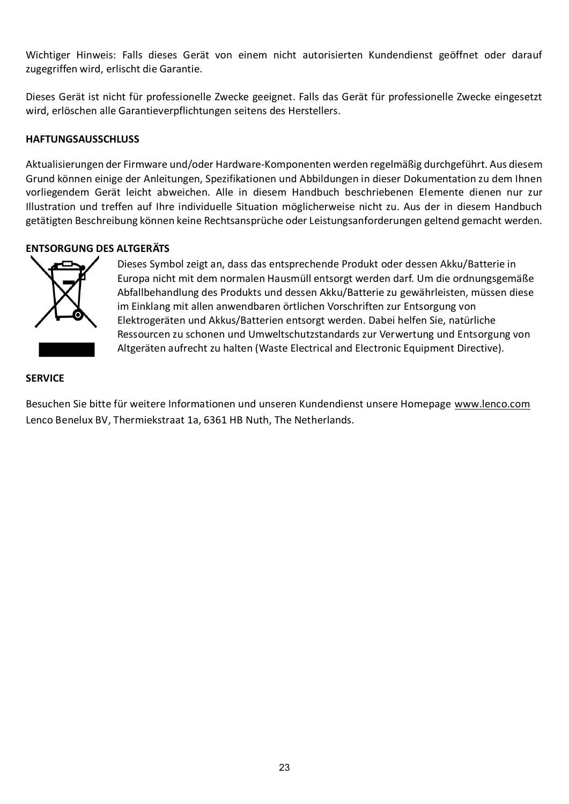Wichtiger Hinweis: Falls dieses Gerät von einem nicht autorisierten Kundendienst geöffnet oder darauf zugegriffen wird, erlischt die Garantie.

Dieses Gerät ist nicht für professionelle Zwecke geeignet. Falls das Gerät für professionelle Zwecke eingesetzt wird, erlöschen alle Garantieverpflichtungen seitens des Herstellers.

#### **HAFTUNGSAUSSCHLUSS**

Aktualisierungen der Firmware und/oder Hardware-Komponenten werden regelmäßig durchgeführt. Aus diesem Grund können einige der Anleitungen, Spezifikationen und Abbildungen in dieser Dokumentation zu dem Ihnen vorliegendem Gerät leicht abweichen. Alle in diesem Handbuch beschriebenen Elemente dienen nur zur Illustration und treffen auf Ihre individuelle Situation möglicherweise nicht zu. Aus der in diesem Handbuch getätigten Beschreibung können keine Rechtsansprüche oder Leistungsanforderungen geltend gemacht werden.

#### **ENTSORGUNG DES ALTGERÄTS**



Dieses Symbol zeigt an, dass das entsprechende Produkt oder dessen Akku/Batterie in Europa nicht mit dem normalen Hausmüll entsorgt werden darf. Um die ordnungsgemäße Abfallbehandlung des Produkts und dessen Akku/Batterie zu gewährleisten, müssen diese im Einklang mit allen anwendbaren örtlichen Vorschriften zur Entsorgung von Elektrogeräten und Akkus/Batterien entsorgt werden. Dabei helfen Sie, natürliche Ressourcen zu schonen und Umweltschutzstandards zur Verwertung und Entsorgung von Altgeräten aufrecht zu halten (Waste Electrical and Electronic Equipment Directive).

#### **SERVICE**

Besuchen Sie bitte für weitere Informationen und unseren Kundendienst unsere Homepage [www.lenco.com](http://www.lenco.com/) Lenco Benelux BV, Thermiekstraat 1a, 6361 HB Nuth, The Netherlands.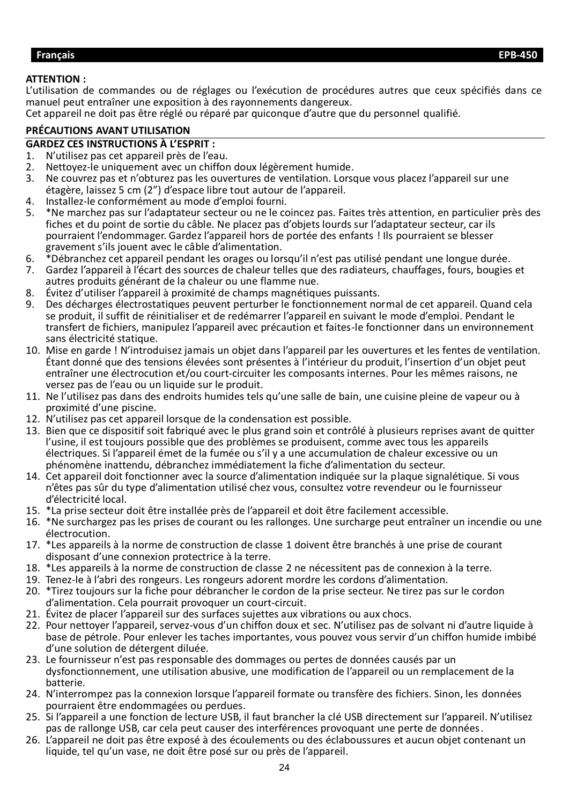#### <span id="page-23-0"></span>**Français EPB-450**

#### **ATTENTION :**

L'utilisation de commandes ou de réglages ou l'exécution de procédures autres que ceux spécifiés dans ce manuel peut entraîner une exposition à des rayonnements dangereux.

Cet appareil ne doit pas être réglé ou réparé par quiconque d'autre que du personnel qualifié.

### **PRÉCAUTIONS AVANT UTILISATION**

# **GARDEZ CES INSTRUCTIONS À L'ESPRIT :**

- 1. N'utilisez pas cet appareil près de l'eau.<br>2. Nettovez-le uniquement avec un chiffor
- 2. Nettoyez-le uniquement avec un chiffon doux légèrement humide.<br>3. Ne couvrez pas et n'obturez pas les ouvertures de ventilation. Lorse
- 3. Ne couvrez pas et n'obturez pas les ouvertures de ventilation. Lorsque vous placez l'appareil sur une étagère, laissez 5 cm (2") d'espace libre tout autour de l'appareil.
- 4. Installez-le conformément au mode d'emploi fourni.
- 5. \*Ne marchez pas sur l'adaptateur secteur ou ne le coincez pas. Faites très attention, en particulier près des fiches et du point de sortie du câble. Ne placez pas d'objets lourds sur l'adaptateur secteur, car ils pourraient l'endommager. Gardez l'appareil hors de portée des enfants ! Ils pourraient se blesser gravement s'ils jouent avec le câble d'alimentation.
- 6. \*Débranchez cet appareil pendant les orages ou lorsqu'il n'est pas utilisé pendant une longue durée.
- 7. Gardez l'appareil à l'écart des sources de chaleur telles que des radiateurs, chauffages, fours, bougies et autres produits générant de la chaleur ou une flamme nue.
- 8. Évitez d'utiliser l'appareil à proximité de champs magnétiques puissants.
- 9. Des décharges électrostatiques peuvent perturber le fonctionnement normal de cet appareil. Quand cela se produit, il suffit de réinitialiser et de redémarrer l'appareil en suivant le mode d'emploi. Pendant le transfert de fichiers, manipulez l'appareil avec précaution et faites-le fonctionner dans un environnement sans électricité statique.
- 10. Mise en garde ! N'introduisez jamais un objet dans l'appareil par les ouvertures et les fentes de ventilation. Étant donné que des tensions élevées sont présentes à l'intérieur du produit, l'insertion d'un objet peut entraîner une électrocution et/ou court-circuiter les composants internes. Pour les mêmes raisons, ne versez pas de l'eau ou un liquide sur le produit.
- 11. Ne l'utilisez pas dans des endroits humides tels qu'une salle de bain, une cuisine pleine de vapeur ou à proximité d'une piscine.
- 12. N'utilisez pas cet appareil lorsque de la condensation est possible.
- 13. Bien que ce dispositif soit fabriqué avec le plus grand soin et contrôlé à plusieurs reprises avant de quitter l'usine, il est toujours possible que des problèmes se produisent, comme avec tous les appareils électriques. Si l'appareil émet de la fumée ou s'il y a une accumulation de chaleur excessive ou un phénomène inattendu, débranchez immédiatement la fiche d'alimentation du secteur.
- 14. Cet appareil doit fonctionner avec la source d'alimentation indiquée sur la plaque signalétique. Si vous n'êtes pas sûr du type d'alimentation utilisé chez vous, consultez votre revendeur ou le fournisseur d'électricité local.
- 15. \*La prise secteur doit être installée près de l'appareil et doit être facilement accessible.
- 16. \*Ne surchargez pas les prises de courant ou les rallonges. Une surcharge peut entraîner un incendie ou une électrocution.
- 17. \*Les appareils à la norme de construction de classe 1 doivent être branchés à une prise de courant disposant d'une connexion protectrice à la terre.
- 18. \*Les appareils à la norme de construction de classe 2 ne nécessitent pas de connexion à la terre.
- 19. Tenez-le à l'abri des rongeurs. Les rongeurs adorent mordre les cordons d'alimentation.
- 20. \*Tirez toujours sur la fiche pour débrancher le cordon de la prise secteur. Ne tirez pas sur le cordon d'alimentation. Cela pourrait provoquer un court-circuit.
- 21. Évitez de placer l'appareil sur des surfaces sujettes aux vibrations ou aux chocs.
- 22. Pour nettoyer l'appareil, servez-vous d'un chiffon doux et sec. N'utilisez pas de solvant ni d'autre liquide à base de pétrole. Pour enlever les taches importantes, vous pouvez vous servir d'un chiffon humide imbibé d'une solution de détergent diluée.
- 23. Le fournisseur n'est pas responsable des dommages ou pertes de données causés par un dysfonctionnement, une utilisation abusive, une modification de l'appareil ou un remplacement de la batterie.
- 24. N'interrompez pas la connexion lorsque l'appareil formate ou transfère des fichiers. Sinon, les données pourraient être endommagées ou perdues.
- 25. Si l'appareil a une fonction de lecture USB, il faut brancher la clé USB directement sur l'appareil. N'utilisez pas de rallonge USB, car cela peut causer des interférences provoquant une perte de données.
- 26. L'appareil ne doit pas être exposé à des écoulements ou des éclaboussures et aucun objet contenant un liquide, tel qu'un vase, ne doit être posé sur ou près de l'appareil.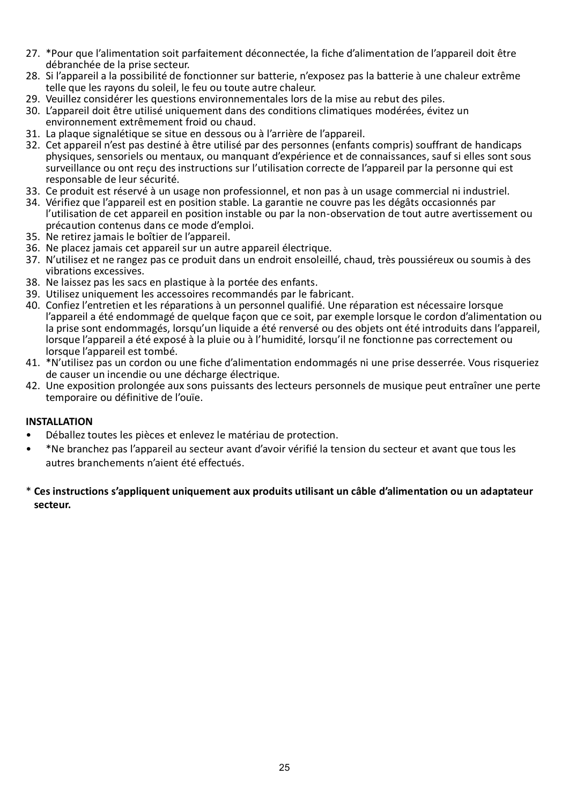- 27. \*Pour que l'alimentation soit parfaitement déconnectée, la fiche d'alimentation de l'appareil doit être débranchée de la prise secteur.
- 28. Si l'appareil a la possibilité de fonctionner sur batterie, n'exposez pas la batterie à une chaleur extrême telle que les rayons du soleil, le feu ou toute autre chaleur.
- 29. Veuillez considérer les questions environnementales lors de la mise au rebut des piles.
- 30. L'appareil doit être utilisé uniquement dans des conditions climatiques modérées, évitez un environnement extrêmement froid ou chaud.
- 31. La plaque signalétique se situe en dessous ou à l'arrière de l'appareil.
- 32. Cet appareil n'est pas destiné à être utilisé par des personnes (enfants compris) souffrant de handicaps physiques, sensoriels ou mentaux, ou manquant d'expérience et de connaissances, sauf si elles sont sous surveillance ou ont reçu des instructions sur l'utilisation correcte de l'appareil par la personne qui est responsable de leur sécurité.
- 33. Ce produit est réservé à un usage non professionnel, et non pas à un usage commercial ni industriel.
- 34. Vérifiez que l'appareil est en position stable. La garantie ne couvre pas les dégâts occasionnés par l'utilisation de cet appareil en position instable ou par la non-observation de tout autre avertissement ou précaution contenus dans ce mode d'emploi.
- 35. Ne retirez jamais le boîtier de l'appareil.
- 36. Ne placez jamais cet appareil sur un autre appareil électrique.
- 37. N'utilisez et ne rangez pas ce produit dans un endroit ensoleillé, chaud, très poussiéreux ou soumis à des vibrations excessives.
- 38. Ne laissez pas les sacs en plastique à la portée des enfants.
- 39. Utilisez uniquement les accessoires recommandés par le fabricant.
- 40. Confiez l'entretien et les réparations à un personnel qualifié. Une réparation est nécessaire lorsque l'appareil a été endommagé de quelque façon que ce soit, par exemple lorsque le cordon d'alimentation ou la prise sont endommagés, lorsqu'un liquide a été renversé ou des objets ont été introduits dans l'appareil, lorsque l'appareil a été exposé à la pluie ou à l'humidité, lorsqu'il ne fonctionne pas correctement ou lorsque l'appareil est tombé.
- 41. \*N'utilisez pas un cordon ou une fiche d'alimentation endommagés ni une prise desserrée. Vous risqueriez de causer un incendie ou une décharge électrique.
- 42. Une exposition prolongée aux sons puissants des lecteurs personnels de musique peut entraîner une perte temporaire ou définitive de l'ouïe.

#### **INSTALLATION**

- Déballez toutes les pièces et enlevez le matériau de protection.
- \*Ne branchez pas l'appareil au secteur avant d'avoir vérifié la tension du secteur et avant que tous les autres branchements n'aient été effectués.
- \* **Ces instructions s'appliquent uniquement aux produits utilisant un câble d'alimentation ou un adaptateur secteur.**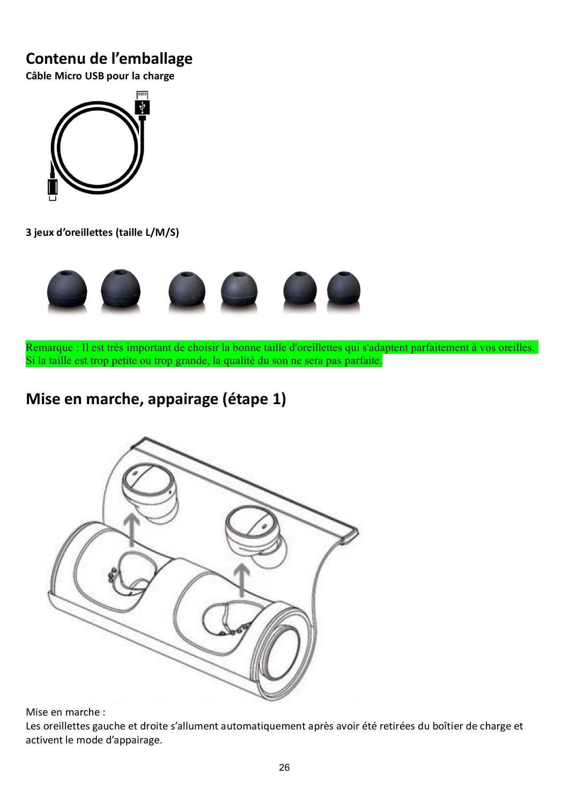## **Contenu de l'emballage**

**Câble Micro USB pour la charge**



**3 jeux d'oreillettes (taille L/M/S)**



Remarque : Il est très important de choisir la bonne taille d'oreillettes qui s'adaptent parfaitement à vos oreilles. Si la taille est trop petite ou trop grande, la qualité du son ne sera pas parfaite.

# **Mise en marche, appairage (étape 1)**



Mise en marche :

Les oreillettes gauche et droite s'allument automatiquement après avoir été retirées du boîtier de charge et activent le mode d'appairage.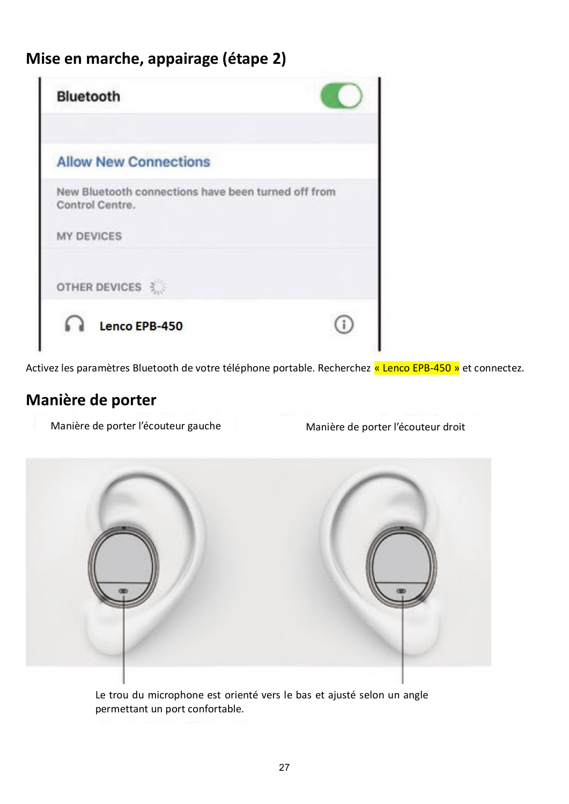# **Mise en marche, appairage (étape 2)**

| <b>Bluetooth</b>                                                       |  |
|------------------------------------------------------------------------|--|
| <b>Allow New Connections</b>                                           |  |
| New Bluetooth connections have been turned off from<br>Control Centre. |  |
| <b>MY DEVICES</b>                                                      |  |
| OTHER DEVICES                                                          |  |
| Lenco EPB-450                                                          |  |

Activez les paramètres Bluetooth de votre téléphone portable. Recherchez « Lenco EPB-450 » et connectez.

### **Manière de porter**

Manière de porter l'écouteur gauche Manière de porter l'écouteur droit



Le trou du microphone est orienté vers le bas et ajusté selon un angle permettant un port confortable.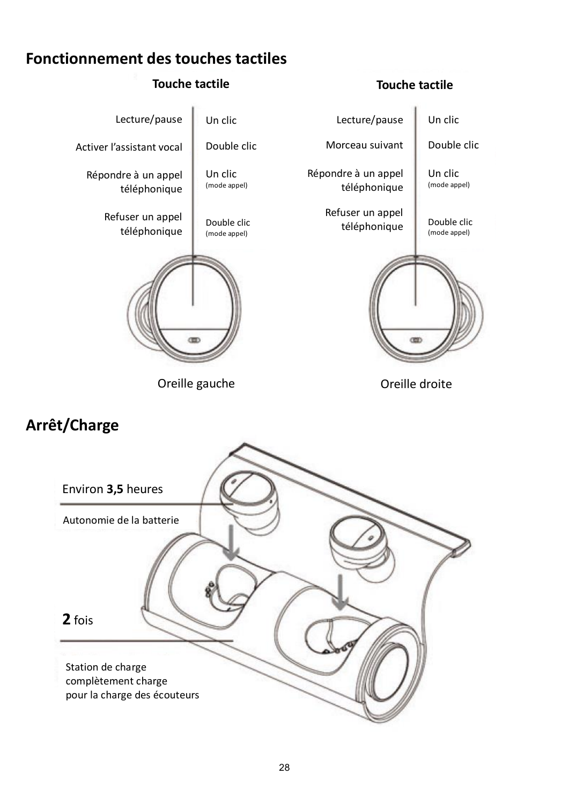## **Fonctionnement des touches tactiles**



# **Arrêt/Charge**

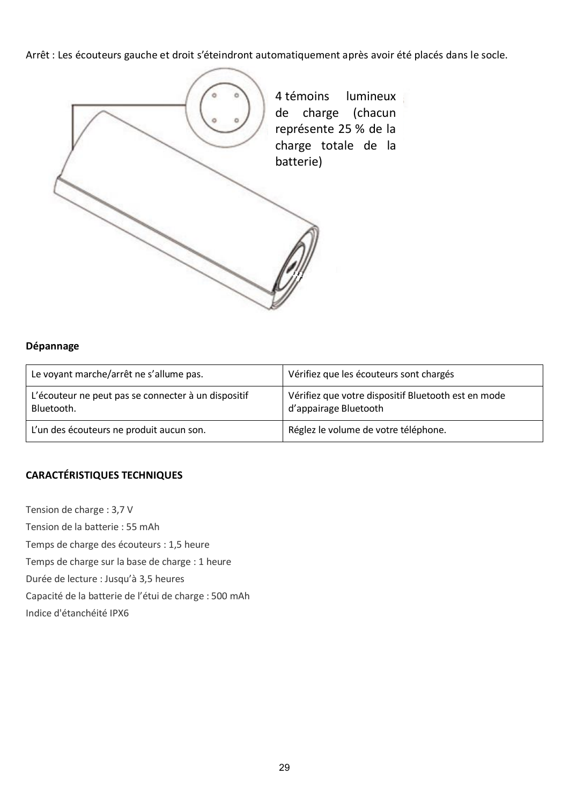Arrêt : Les écouteurs gauche et droit s'éteindront automatiquement après avoir été placés dans le socle.



#### **Dépannage**

| Le voyant marche/arrêt ne s'allume pas.                           | Vérifiez que les écouteurs sont chargés                                      |
|-------------------------------------------------------------------|------------------------------------------------------------------------------|
| L'écouteur ne peut pas se connecter à un dispositif<br>Bluetooth. | Vérifiez que votre dispositif Bluetooth est en mode<br>d'appairage Bluetooth |
| L'un des écouteurs ne produit aucun son.                          | Réglez le volume de votre téléphone.                                         |

#### **CARACTÉRISTIQUES TECHNIQUES**

Tension de charge : 3,7 V Tension de la batterie : 55 mAh Temps de charge des écouteurs : 1,5 heure Temps de charge sur la base de charge : 1 heure Durée de lecture : Jusqu'à 3,5 heures Capacité de la batterie de l'étui de charge : 500 mAh Indice d'étanchéité IPX6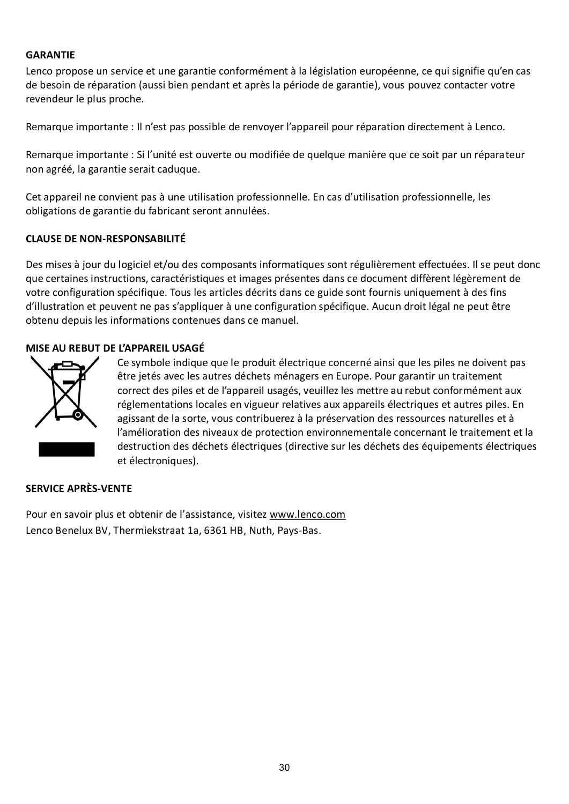#### **GARANTIE**

Lenco propose un service et une garantie conformément à la législation européenne, ce qui signifie qu'en cas de besoin de réparation (aussi bien pendant et après la période de garantie), vous pouvez contacter votre revendeur le plus proche.

Remarque importante : Il n'est pas possible de renvoyer l'appareil pour réparation directement à Lenco.

Remarque importante : Si l'unité est ouverte ou modifiée de quelque manière que ce soit par un réparateur non agréé, la garantie serait caduque.

Cet appareil ne convient pas à une utilisation professionnelle. En cas d'utilisation professionnelle, les obligations de garantie du fabricant seront annulées.

#### **CLAUSE DE NON-RESPONSABILITÉ**

Des mises à jour du logiciel et/ou des composants informatiques sont régulièrement effectuées. Il se peut donc que certaines instructions, caractéristiques et images présentes dans ce document diffèrent légèrement de votre configuration spécifique. Tous les articles décrits dans ce guide sont fournis uniquement à des fins d'illustration et peuvent ne pas s'appliquer à une configuration spécifique. Aucun droit légal ne peut être obtenu depuis les informations contenues dans ce manuel.

#### **MISE AU REBUT DE L'APPAREIL USAGÉ**



Ce symbole indique que le produit électrique concerné ainsi que les piles ne doivent pas être jetés avec les autres déchets ménagers en Europe. Pour garantir un traitement correct des piles et de l'appareil usagés, veuillez les mettre au rebut conformément aux réglementations locales en vigueur relatives aux appareils électriques et autres piles. En agissant de la sorte, vous contribuerez à la préservation des ressources naturelles et à l'amélioration des niveaux de protection environnementale concernant le traitement et la destruction des déchets électriques (directive sur les déchets des équipements électriques et électroniques).

#### **SERVICE APRÈS-VENTE**

Pour en savoir plus et obtenir de l'assistance, visitez [www.lenco.com](http://www.lenco.com/) Lenco Benelux BV, Thermiekstraat 1a, 6361 HB, Nuth, Pays-Bas.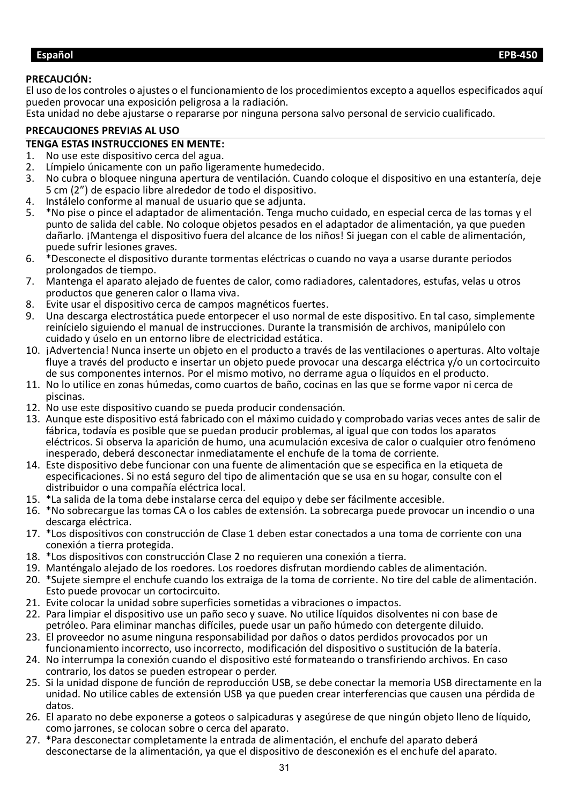### <span id="page-30-0"></span>**PRECAUCIÓN:**

El uso de los controles o ajustes o el funcionamiento de los procedimientos excepto a aquellos especificados aquí pueden provocar una exposición peligrosa a la radiación.

Esta unidad no debe ajustarse o repararse por ninguna persona salvo personal de servicio cualificado.

#### **PRECAUCIONES PREVIAS AL USO**

# **TENGA ESTAS INSTRUCCIONES EN MENTE:**<br>1. No use este dispositivo cerca del agua.

- 1. No use este dispositivo cerca del agua.
- 2. Límpielo únicamente con un paño ligeramente humedecido.
- 3. No cubra o bloquee ninguna apertura de ventilación. Cuando coloque el dispositivo en una estantería, deje 5 cm (2") de espacio libre alrededor de todo el dispositivo.
- 4. Instálelo conforme al manual de usuario que se adjunta.
- 5. \*No pise o pince el adaptador de alimentación. Tenga mucho cuidado, en especial cerca de las tomas y el punto de salida del cable. No coloque objetos pesados en el adaptador de alimentación, ya que pueden dañarlo. ¡Mantenga el dispositivo fuera del alcance de los niños! Si juegan con el cable de alimentación, puede sufrir lesiones graves.
- 6. \*Desconecte el dispositivo durante tormentas eléctricas o cuando no vaya a usarse durante periodos prolongados de tiempo.
- 7. Mantenga el aparato alejado de fuentes de calor, como radiadores, calentadores, estufas, velas u otros productos que generen calor o llama viva.
- 8. Evite usar el dispositivo cerca de campos magnéticos fuertes.<br>9. Una descarga electrostática puede entorpecer el uso normal de
- 9. Una descarga electrostática puede entorpecer el uso normal de este dispositivo. En tal caso, simplemente reinícielo siguiendo el manual de instrucciones. Durante la transmisión de archivos, manipúlelo con cuidado y úselo en un entorno libre de electricidad estática.
- 10. ¡Advertencia! Nunca inserte un objeto en el producto a través de las ventilaciones o aperturas. Alto voltaje fluye a través del producto e insertar un objeto puede provocar una descarga eléctrica y/o un cortocircuito de sus componentes internos. Por el mismo motivo, no derrame agua o líquidos en el producto.
- 11. No lo utilice en zonas húmedas, como cuartos de baño, cocinas en las que se forme vapor ni cerca de piscinas.
- 12. No use este dispositivo cuando se pueda producir condensación.
- 13. Aunque este dispositivo está fabricado con el máximo cuidado y comprobado varias veces antes de salir de fábrica, todavía es posible que se puedan producir problemas, al igual que con todos los aparatos eléctricos. Si observa la aparición de humo, una acumulación excesiva de calor o cualquier otro fenómeno inesperado, deberá desconectar inmediatamente el enchufe de la toma de corriente.
- 14. Este dispositivo debe funcionar con una fuente de alimentación que se especifica en la etiqueta de especificaciones. Si no está seguro del tipo de alimentación que se usa en su hogar, consulte con el distribuidor o una compañía eléctrica local.
- 15. \*La salida de la toma debe instalarse cerca del equipo y debe ser fácilmente accesible.
- 16. \*No sobrecargue las tomas CA o los cables de extensión. La sobrecarga puede provocar un incendio o una descarga eléctrica.
- 17. \*Los dispositivos con construcción de Clase 1 deben estar conectados a una toma de corriente con una conexión a tierra protegida.
- 18. \*Los dispositivos con construcción Clase 2 no requieren una conexión a tierra.
- 19. Manténgalo alejado de los roedores. Los roedores disfrutan mordiendo cables de alimentación.
- 20. \*Sujete siempre el enchufe cuando los extraiga de la toma de corriente. No tire del cable de alimentación. Esto puede provocar un cortocircuito.
- 21. Evite colocar la unidad sobre superficies sometidas a vibraciones o impactos.
- 22. Para limpiar el dispositivo use un paño seco y suave. No utilice líquidos disolventes ni con base de petróleo. Para eliminar manchas difíciles, puede usar un paño húmedo con detergente diluido.
- 23. El proveedor no asume ninguna responsabilidad por daños o datos perdidos provocados por un funcionamiento incorrecto, uso incorrecto, modificación del dispositivo o sustitución de la batería.
- 24. No interrumpa la conexión cuando el dispositivo esté formateando o transfiriendo archivos. En caso contrario, los datos se pueden estropear o perder.
- 25. Si la unidad dispone de función de reproducción USB, se debe conectar la memoria USB directamente en la unidad. No utilice cables de extensión USB ya que pueden crear interferencias que causen una pérdida de datos.
- 26. El aparato no debe exponerse a goteos o salpicaduras y asegúrese de que ningún objeto lleno de líquido, como jarrones, se colocan sobre o cerca del aparato.
- 27. \*Para desconectar completamente la entrada de alimentación, el enchufe del aparato deberá desconectarse de la alimentación, ya que el dispositivo de desconexión es el enchufe del aparato.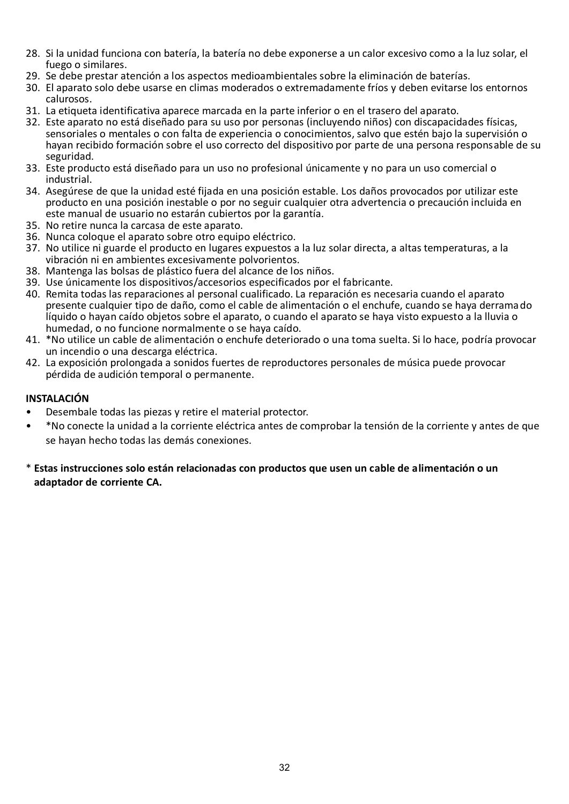- 28. Si la unidad funciona con batería, la batería no debe exponerse a un calor excesivo como a la luz solar, el fuego o similares.
- 29. Se debe prestar atención a los aspectos medioambientales sobre la eliminación de baterías.
- 30. El aparato solo debe usarse en climas moderados o extremadamente fríos y deben evitarse los entornos calurosos.
- 31. La etiqueta identificativa aparece marcada en la parte inferior o en el trasero del aparato.
- 32. Este aparato no está diseñado para su uso por personas (incluyendo niños) con discapacidades físicas, sensoriales o mentales o con falta de experiencia o conocimientos, salvo que estén bajo la supervisión o hayan recibido formación sobre el uso correcto del dispositivo por parte de una persona responsable de su seguridad.
- 33. Este producto está diseñado para un uso no profesional únicamente y no para un uso comercial o industrial.
- 34. Asegúrese de que la unidad esté fijada en una posición estable. Los daños provocados por utilizar este producto en una posición inestable o por no seguir cualquier otra advertencia o precaución incluida en este manual de usuario no estarán cubiertos por la garantía.
- 35. No retire nunca la carcasa de este aparato.
- 36. Nunca coloque el aparato sobre otro equipo eléctrico.
- 37. No utilice ni guarde el producto en lugares expuestos a la luz solar directa, a altas temperaturas, a la vibración ni en ambientes excesivamente polvorientos.
- 38. Mantenga las bolsas de plástico fuera del alcance de los niños.
- 39. Use únicamente los dispositivos/accesorios especificados por el fabricante.
- 40. Remita todas las reparaciones al personal cualificado. La reparación es necesaria cuando el aparato presente cualquier tipo de daño, como el cable de alimentación o el enchufe, cuando se haya derramado líquido o hayan caído objetos sobre el aparato, o cuando el aparato se haya visto expuesto a la lluvia o humedad, o no funcione normalmente o se haya caído.
- 41. \*No utilice un cable de alimentación o enchufe deteriorado o una toma suelta. Si lo hace, podría provocar un incendio o una descarga eléctrica.
- 42. La exposición prolongada a sonidos fuertes de reproductores personales de música puede provocar pérdida de audición temporal o permanente.

#### **INSTALACIÓN**

- Desembale todas las piezas y retire el material protector.
- \*No conecte la unidad a la corriente eléctrica antes de comprobar la tensión de la corriente y antes de que se hayan hecho todas las demás conexiones.
- \* **Estas instrucciones solo están relacionadas con productos que usen un cable de alimentación o un adaptador de corriente CA.**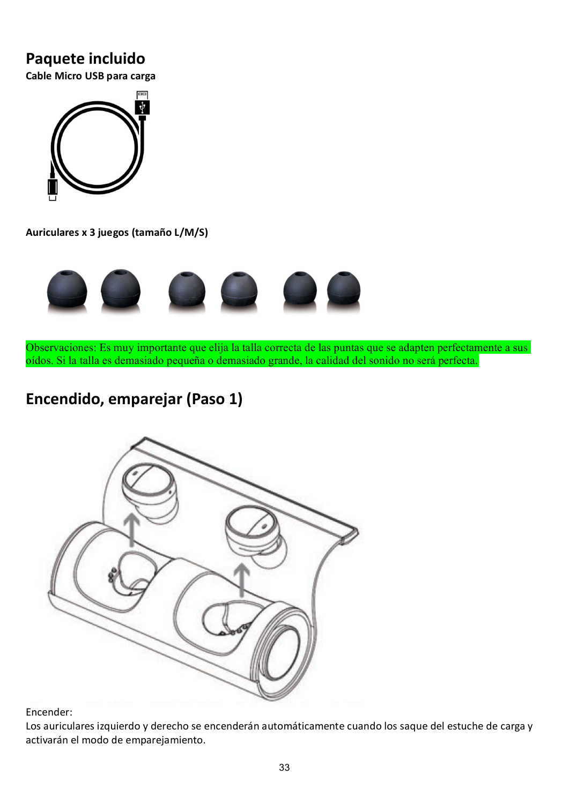### **Paquete incluido**

**Cable Micro USB para carga**



**Auriculares x 3 juegos (tamaño L/M/S)**



Observaciones: Es muy importante que elija la talla correcta de las puntas que se adapten perfectamente a sus oídos. Si la talla es demasiado pequeña o demasiado grande, la calidad del sonido no será perfecta.

# **Encendido, emparejar (Paso 1)**



Encender:

Los auriculares izquierdo y derecho se encenderán automáticamente cuando los saque del estuche de carga y activarán el modo de emparejamiento.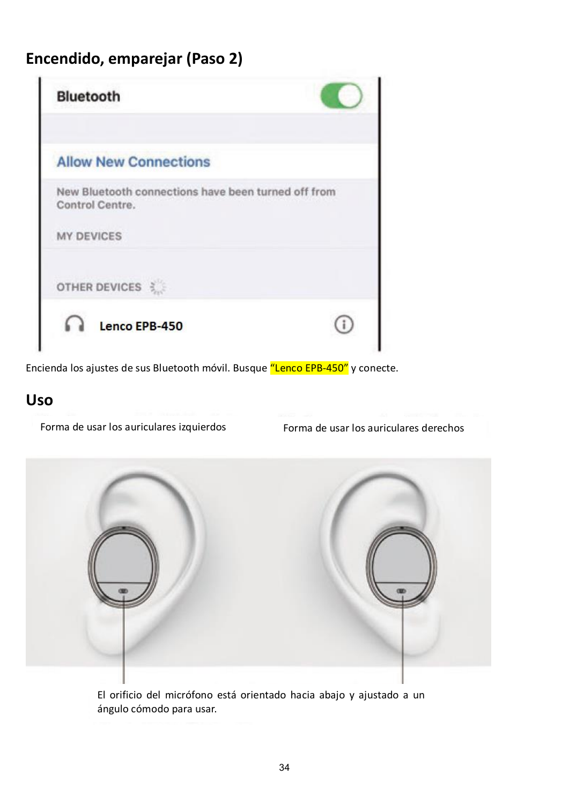# **Encendido, emparejar (Paso 2)**

| <b>Bluetooth</b>                                                       |  |
|------------------------------------------------------------------------|--|
| <b>Allow New Connections</b>                                           |  |
| New Bluetooth connections have been turned off from<br>Control Centre. |  |
| <b>MY DEVICES</b>                                                      |  |
| OTHER DEVICES                                                          |  |
|                                                                        |  |

Encienda los ajustes de sus Bluetooth móvil. Busque "Lenco EPB-450" y conecte.

### **Uso**

Forma de usar los auriculares izquierdos Forma de usar los auriculares derechos



El orificio del micrófono está orientado hacia abajo y ajustado a un ángulo cómodo para usar.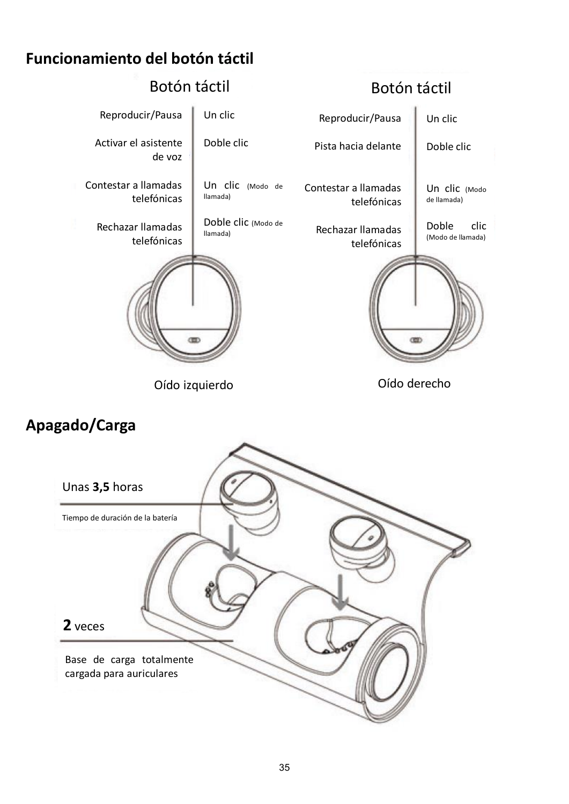# **Funcionamiento del botón táctil**



# **Apagado/Carga**

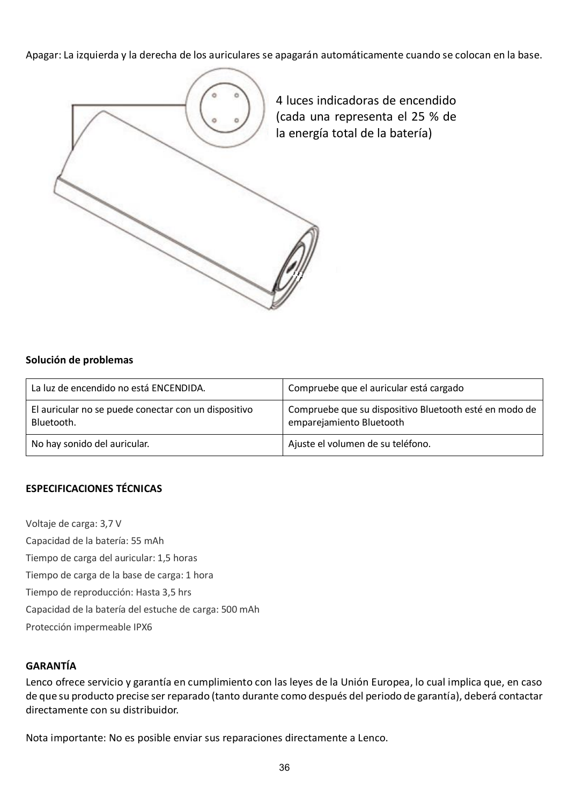Apagar: La izquierda y la derecha de los auriculares se apagarán automáticamente cuando se colocan en la base.



#### **Solución de problemas**

| La luz de encendido no está ENCENDIDA.                             | Compruebe que el auricular está cargado                                            |
|--------------------------------------------------------------------|------------------------------------------------------------------------------------|
| El auricular no se puede conectar con un dispositivo<br>Bluetooth. | Compruebe que su dispositivo Bluetooth esté en modo de<br>emparejamiento Bluetooth |
| No hay sonido del auricular.                                       | Ajuste el volumen de su teléfono.                                                  |

#### **ESPECIFICACIONES TÉCNICAS**

Voltaje de carga: 3,7 V Capacidad de la batería: 55 mAh Tiempo de carga del auricular: 1,5 horas Tiempo de carga de la base de carga: 1 hora Tiempo de reproducción: Hasta 3,5 hrs Capacidad de la batería del estuche de carga: 500 mAh Protección impermeable IPX6

### **GARANTÍA**

Lenco ofrece servicio y garantía en cumplimiento con las leyes de la Unión Europea, lo cual implica que, en caso de que su producto precise ser reparado (tanto durante como después del periodo de garantía), deberá contactar directamente con su distribuidor.

Nota importante: No es posible enviar sus reparaciones directamente a Lenco.